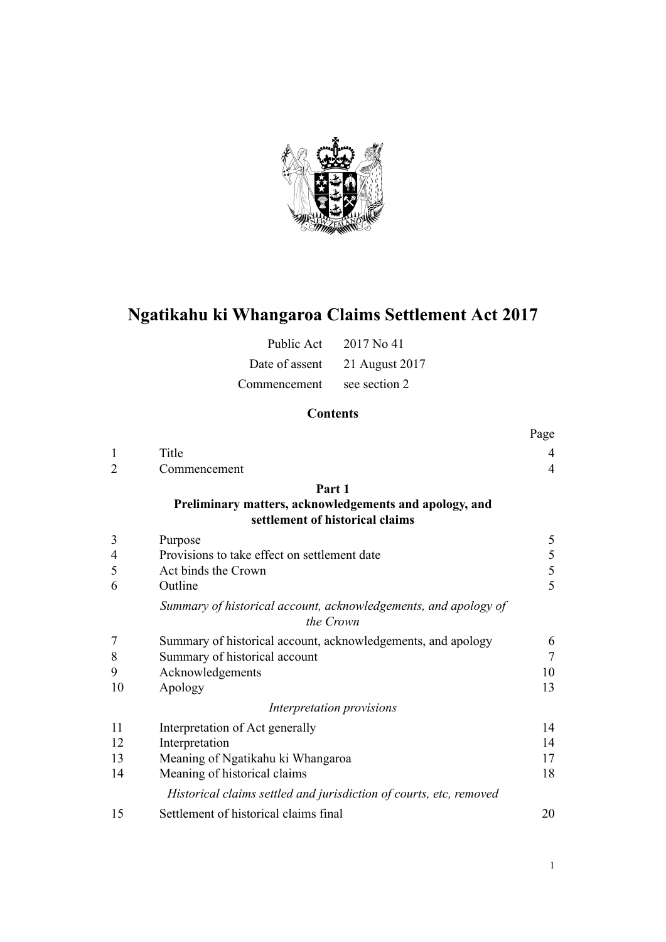

# **Ngatikahu ki Whangaroa Claims Settlement Act 2017**

| Public Act     | 2017 No 41     |
|----------------|----------------|
| Date of assent | 21 August 2017 |
| Commencement   | see section 2  |

# **Contents**

|                |                                                                              | Page                                       |
|----------------|------------------------------------------------------------------------------|--------------------------------------------|
| 1              | Title                                                                        | 4                                          |
| $\overline{2}$ | Commencement                                                                 | $\overline{4}$                             |
|                | Part 1                                                                       |                                            |
|                | Preliminary matters, acknowledgements and apology, and                       |                                            |
|                | settlement of historical claims                                              |                                            |
| 3              | Purpose                                                                      | 5                                          |
| 4              | Provisions to take effect on settlement date                                 |                                            |
| 5              | Act binds the Crown                                                          | $\begin{array}{c} 5 \\ 5 \\ 5 \end{array}$ |
| 6              | Outline                                                                      |                                            |
|                | Summary of historical account, acknowledgements, and apology of<br>the Crown |                                            |
| 7              | Summary of historical account, acknowledgements, and apology                 | 6                                          |
| 8              | Summary of historical account                                                | $\tau$                                     |
| 9              | Acknowledgements                                                             | 10                                         |
| 10             | Apology                                                                      | 13                                         |
|                | Interpretation provisions                                                    |                                            |
| 11             | Interpretation of Act generally                                              | 14                                         |
| 12             | Interpretation                                                               | 14                                         |
| 13             | Meaning of Ngatikahu ki Whangaroa                                            | 17                                         |
| 14             | Meaning of historical claims                                                 | 18                                         |
|                | Historical claims settled and jurisdiction of courts, etc, removed           |                                            |
| 15             | Settlement of historical claims final                                        | 20                                         |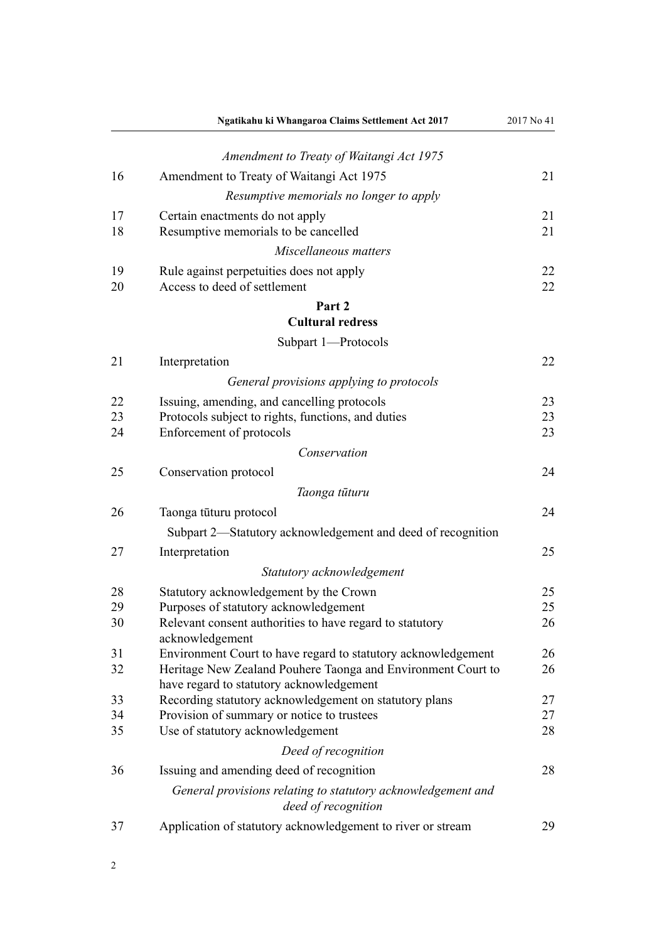|    | Ngatikahu ki Whangaroa Claims Settlement Act 2017                                                        | 2017 No 41 |
|----|----------------------------------------------------------------------------------------------------------|------------|
|    | Amendment to Treaty of Waitangi Act 1975                                                                 |            |
| 16 | Amendment to Treaty of Waitangi Act 1975                                                                 | 21         |
|    | Resumptive memorials no longer to apply                                                                  |            |
| 17 | Certain enactments do not apply                                                                          | 21         |
| 18 | Resumptive memorials to be cancelled                                                                     | 21         |
|    | Miscellaneous matters                                                                                    |            |
| 19 | Rule against perpetuities does not apply                                                                 | 22         |
| 20 | Access to deed of settlement                                                                             | 22         |
|    | Part 2                                                                                                   |            |
|    | <b>Cultural redress</b>                                                                                  |            |
|    | Subpart 1-Protocols                                                                                      |            |
| 21 | Interpretation                                                                                           | 22         |
|    | General provisions applying to protocols                                                                 |            |
| 22 | Issuing, amending, and cancelling protocols                                                              | 23         |
| 23 | Protocols subject to rights, functions, and duties                                                       | 23         |
| 24 | Enforcement of protocols                                                                                 | 23         |
|    | Conservation                                                                                             |            |
| 25 | Conservation protocol                                                                                    | 24         |
|    | Taonga tūturu                                                                                            |            |
| 26 | Taonga tūturu protocol                                                                                   | 24         |
|    | Subpart 2—Statutory acknowledgement and deed of recognition                                              |            |
| 27 | Interpretation                                                                                           | 25         |
|    | Statutory acknowledgement                                                                                |            |
| 28 | Statutory acknowledgement by the Crown                                                                   | 25         |
| 29 | Purposes of statutory acknowledgement                                                                    | 25         |
| 30 | Relevant consent authorities to have regard to statutory<br>acknowledgement                              | 26         |
| 31 | Environment Court to have regard to statutory acknowledgement                                            | 26         |
| 32 | Heritage New Zealand Pouhere Taonga and Environment Court to<br>have regard to statutory acknowledgement | 26         |
| 33 | Recording statutory acknowledgement on statutory plans                                                   | 27         |
| 34 | Provision of summary or notice to trustees                                                               | 27         |
| 35 | Use of statutory acknowledgement                                                                         | 28         |
|    | Deed of recognition                                                                                      |            |
| 36 | Issuing and amending deed of recognition                                                                 | 28         |
|    | General provisions relating to statutory acknowledgement and<br>deed of recognition                      |            |
| 37 | Application of statutory acknowledgement to river or stream                                              | 29         |
|    |                                                                                                          |            |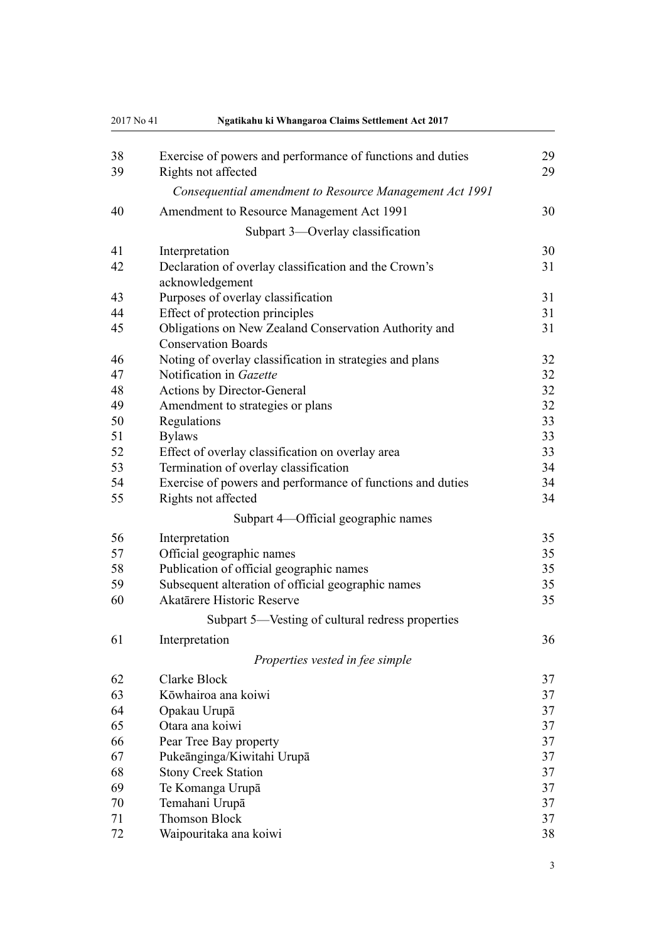| 2017 No 41 | Ngatikahu ki Whangaroa Claims Settlement Act 2017                                   |          |
|------------|-------------------------------------------------------------------------------------|----------|
| 38         | Exercise of powers and performance of functions and duties                          | 29       |
| 39         | Rights not affected                                                                 | 29       |
|            | Consequential amendment to Resource Management Act 1991                             |          |
| 40         | Amendment to Resource Management Act 1991                                           | 30       |
|            | Subpart 3—Overlay classification                                                    |          |
| 41         | Interpretation                                                                      | 30       |
| 42         | Declaration of overlay classification and the Crown's<br>acknowledgement            | 31       |
| 43         | Purposes of overlay classification                                                  | 31       |
| 44         | Effect of protection principles                                                     | 31       |
| 45         | Obligations on New Zealand Conservation Authority and<br><b>Conservation Boards</b> | 31       |
| 46         | Noting of overlay classification in strategies and plans                            | 32       |
| 47         | Notification in Gazette                                                             | 32       |
| 48         | Actions by Director-General                                                         | 32       |
| 49         | Amendment to strategies or plans                                                    | 32       |
| 50         | Regulations                                                                         | 33       |
| 51         | <b>Bylaws</b>                                                                       | 33       |
| 52         | Effect of overlay classification on overlay area                                    | 33       |
| 53         | Termination of overlay classification                                               | 34       |
| 54<br>55   | Exercise of powers and performance of functions and duties<br>Rights not affected   | 34<br>34 |
|            | Subpart 4—Official geographic names                                                 |          |
| 56         | Interpretation                                                                      | 35       |
| 57         | Official geographic names                                                           | 35       |
| 58         | Publication of official geographic names                                            | 35       |
| 59         | Subsequent alteration of official geographic names                                  | 35       |
| 60         | Akatārere Historic Reserve                                                          | 35       |
|            | Subpart 5—Vesting of cultural redress properties                                    |          |
| 61         | Interpretation                                                                      | 36       |
|            | Properties vested in fee simple                                                     |          |
| 62         | Clarke Block                                                                        | 37       |
| 63         | Kōwhairoa ana koiwi                                                                 | 37       |
| 64         | Opakau Urupā                                                                        | 37       |
| 65         | Otara ana koiwi                                                                     | 37       |
| 66         | Pear Tree Bay property                                                              | 37       |
| 67         | Pukeānginga/Kiwitahi Urupā                                                          | 37       |
| 68         | <b>Stony Creek Station</b>                                                          | 37       |
| 69         | Te Komanga Urupā                                                                    | 37       |
| 70         | Temahani Urupā                                                                      | 37       |
| 71         | <b>Thomson Block</b>                                                                | 37       |
| 72         | Waipouritaka ana koiwi                                                              | 38       |

3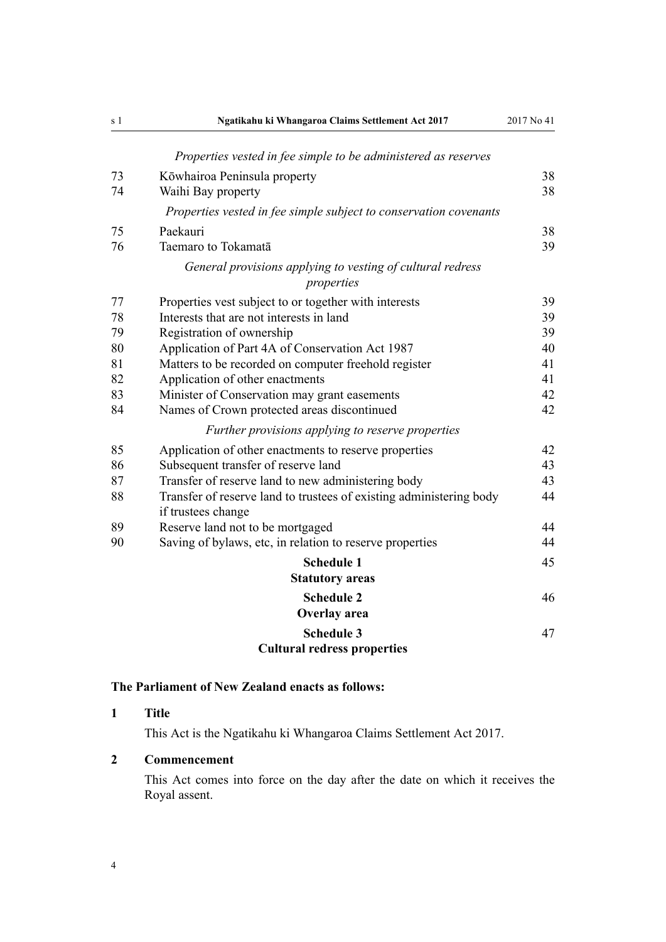| s 1 | Ngatikahu ki Whangaroa Claims Settlement Act 2017                        | 2017 No 41 |
|-----|--------------------------------------------------------------------------|------------|
|     | Properties vested in fee simple to be administered as reserves           |            |
| 73  | Kōwhairoa Peninsula property                                             | 38         |
| 74  | Waihi Bay property                                                       | 38         |
|     | Properties vested in fee simple subject to conservation covenants        |            |
| 75  | Paekauri                                                                 | 38         |
| 76  | Taemaro to Tokamatā                                                      | 39         |
|     | General provisions applying to vesting of cultural redress<br>properties |            |
| 77  | Properties vest subject to or together with interests                    | 39         |
| 78  | Interests that are not interests in land                                 | 39         |
| 79  | Registration of ownership                                                | 39         |
| 80  | Application of Part 4A of Conservation Act 1987                          | 40         |
| 81  | Matters to be recorded on computer freehold register                     | 41         |
| 82  | Application of other enactments                                          | 41         |
| 83  | Minister of Conservation may grant easements                             | 42         |
| 84  | Names of Crown protected areas discontinued                              | 42         |
|     | Further provisions applying to reserve properties                        |            |
| 85  | Application of other enactments to reserve properties                    | 42         |
| 86  | Subsequent transfer of reserve land                                      | 43         |
| 87  | Transfer of reserve land to new administering body                       | 43         |
| 88  | Transfer of reserve land to trustees of existing administering body      | 44         |
|     | if trustees change                                                       |            |
| 89  | Reserve land not to be mortgaged                                         | 44         |
| 90  | Saving of bylaws, etc, in relation to reserve properties                 | 44         |
|     | <b>Schedule 1</b>                                                        | 45         |
|     | <b>Statutory areas</b>                                                   |            |
|     | <b>Schedule 2</b>                                                        | 46         |
|     | Overlay area                                                             |            |
|     | <b>Schedule 3</b>                                                        | 47         |
|     | <b>Cultural redress properties</b>                                       |            |

### **The Parliament of New Zealand enacts as follows:**

#### **1 Title**

This Act is the Ngatikahu ki Whangaroa Claims Settlement Act 2017.

#### **2 Commencement**

This Act comes into force on the day after the date on which it receives the Royal assent.

|--|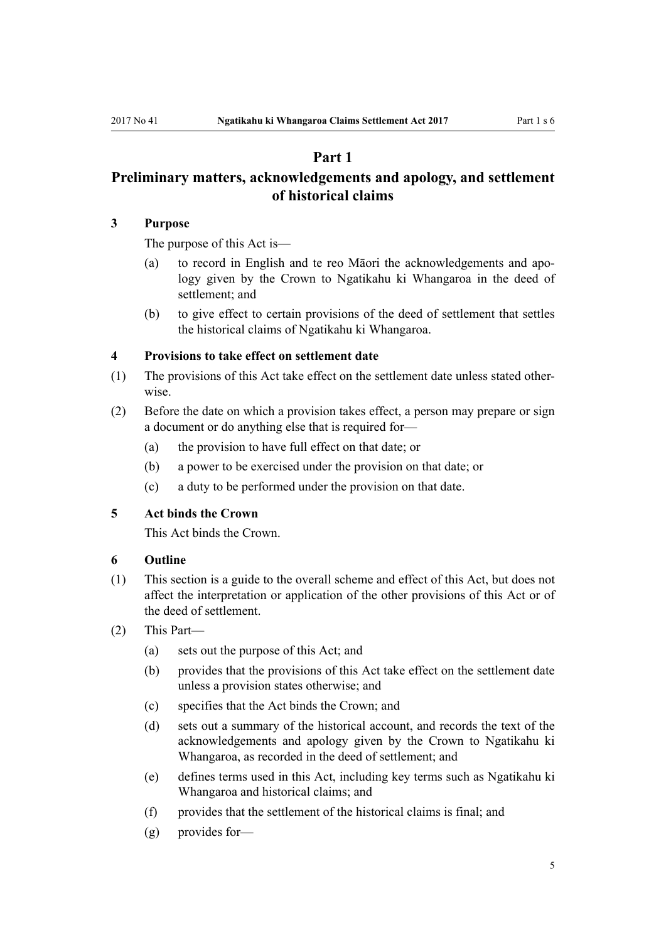#### **Part 1**

### **Preliminary matters, acknowledgements and apology, and settlement of historical claims**

#### **3 Purpose**

The purpose of this Act is—

- (a) to record in English and te reo Māori the acknowledgements and apology given by the Crown to Ngatikahu ki Whangaroa in the deed of settlement; and
- (b) to give effect to certain provisions of the deed of settlement that settles the historical claims of Ngatikahu ki Whangaroa.

#### **4 Provisions to take effect on settlement date**

- (1) The provisions of this Act take effect on the settlement date unless stated otherwise.
- (2) Before the date on which a provision takes effect, a person may prepare or sign a document or do anything else that is required for—
	- (a) the provision to have full effect on that date; or
	- (b) a power to be exercised under the provision on that date; or
	- (c) a duty to be performed under the provision on that date.

#### **5 Act binds the Crown**

This Act binds the Crown.

#### **6 Outline**

- (1) This section is a guide to the overall scheme and effect of this Act, but does not affect the interpretation or application of the other provisions of this Act or of the deed of settlement.
- (2) This Part—
	- (a) sets out the purpose of this Act; and
	- (b) provides that the provisions of this Act take effect on the settlement date unless a provision states otherwise; and
	- (c) specifies that the Act binds the Crown; and
	- (d) sets out a summary of the historical account, and records the text of the acknowledgements and apology given by the Crown to Ngatikahu ki Whangaroa, as recorded in the deed of settlement; and
	- (e) defines terms used in this Act, including key terms such as Ngatikahu ki Whangaroa and historical claims; and
	- (f) provides that the settlement of the historical claims is final; and
	- (g) provides for—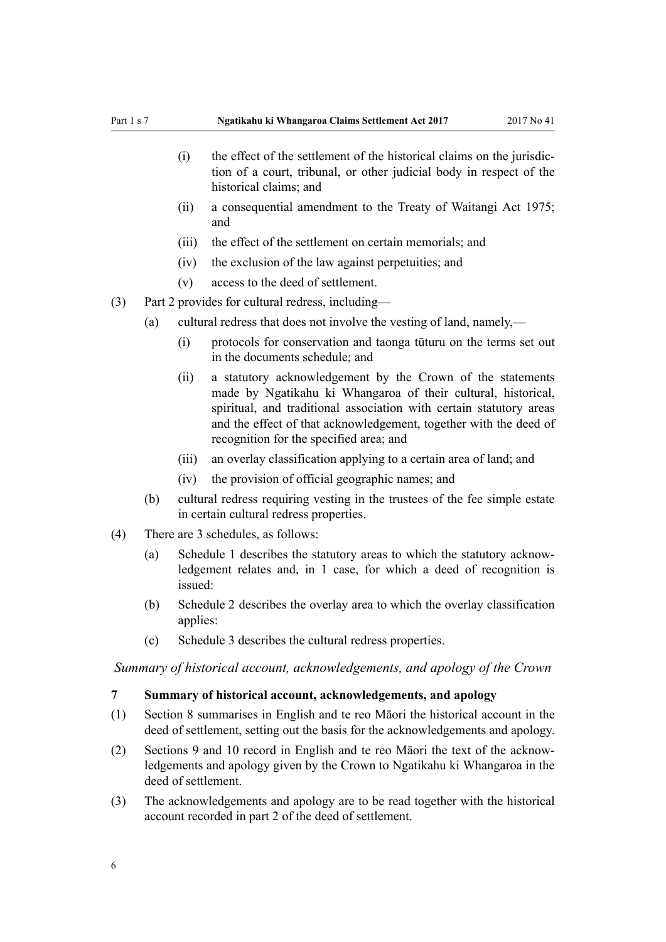- (i) the effect of the settlement of the historical claims on the jurisdiction of a court, tribunal, or other judicial body in respect of the historical claims; and
- (ii) a consequential amendment to the Treaty of Waitangi Act 1975; and
- (iii) the effect of the settlement on certain memorials; and
- (iv) the exclusion of the law against perpetuities; and
- (v) access to the deed of settlement.
- (3) Part 2 provides for cultural redress, including—
	- (a) cultural redress that does not involve the vesting of land, namely,—
		- (i) protocols for conservation and taonga tūturu on the terms set out in the documents schedule; and
		- (ii) a statutory acknowledgement by the Crown of the statements made by Ngatikahu ki Whangaroa of their cultural, historical, spiritual, and traditional association with certain statutory areas and the effect of that acknowledgement, together with the deed of recognition for the specified area; and
		- (iii) an overlay classification applying to a certain area of land; and
		- (iv) the provision of official geographic names; and
	- (b) cultural redress requiring vesting in the trustees of the fee simple estate in certain cultural redress properties.
- (4) There are 3 schedules, as follows:
	- (a) Schedule 1 describes the statutory areas to which the statutory acknowledgement relates and, in 1 case, for which a deed of recognition is issued:
	- (b) Schedule 2 describes the overlay area to which the overlay classification applies:
	- (c) Schedule 3 describes the cultural redress properties.

*Summary of historical account, acknowledgements, and apology of the Crown*

#### **7 Summary of historical account, acknowledgements, and apology**

- (1) Section 8 summarises in English and te reo Māori the historical account in the deed of settlement, setting out the basis for the acknowledgements and apology.
- (2) Sections 9 and 10 record in English and te reo Māori the text of the acknowledgements and apology given by the Crown to Ngatikahu ki Whangaroa in the deed of settlement.
- (3) The acknowledgements and apology are to be read together with the historical account recorded in part 2 of the deed of settlement.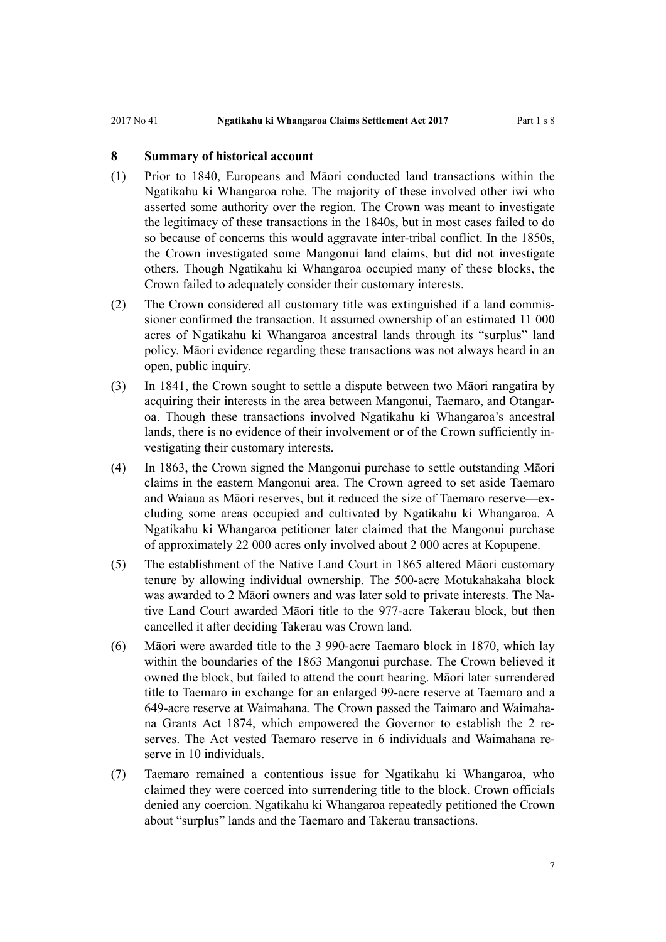#### **8 Summary of historical account**

- (1) Prior to 1840, Europeans and Māori conducted land transactions within the Ngatikahu ki Whangaroa rohe. The majority of these involved other iwi who asserted some authority over the region. The Crown was meant to investigate the legitimacy of these transactions in the 1840s, but in most cases failed to do so because of concerns this would aggravate inter-tribal conflict. In the 1850s, the Crown investigated some Mangonui land claims, but did not investigate others. Though Ngatikahu ki Whangaroa occupied many of these blocks, the Crown failed to adequately consider their customary interests.
- (2) The Crown considered all customary title was extinguished if a land commissioner confirmed the transaction. It assumed ownership of an estimated 11 000 acres of Ngatikahu ki Whangaroa ancestral lands through its "surplus" land policy. Māori evidence regarding these transactions was not always heard in an open, public inquiry.
- (3) In 1841, the Crown sought to settle a dispute between two Māori rangatira by acquiring their interests in the area between Mangonui, Taemaro, and Otangaroa. Though these transactions involved Ngatikahu ki Whangaroa's ancestral lands, there is no evidence of their involvement or of the Crown sufficiently investigating their customary interests.
- (4) In 1863, the Crown signed the Mangonui purchase to settle outstanding Māori claims in the eastern Mangonui area. The Crown agreed to set aside Taemaro and Waiaua as Māori reserves, but it reduced the size of Taemaro reserve—excluding some areas occupied and cultivated by Ngatikahu ki Whangaroa. A Ngatikahu ki Whangaroa petitioner later claimed that the Mangonui purchase of approximately 22 000 acres only involved about 2 000 acres at Kopupene.
- (5) The establishment of the Native Land Court in 1865 altered Māori customary tenure by allowing individual ownership. The 500-acre Motukahakaha block was awarded to 2 Māori owners and was later sold to private interests. The Native Land Court awarded Māori title to the 977-acre Takerau block, but then cancelled it after deciding Takerau was Crown land.
- (6) Māori were awarded title to the 3 990-acre Taemaro block in 1870, which lay within the boundaries of the 1863 Mangonui purchase. The Crown believed it owned the block, but failed to attend the court hearing. Māori later surrendered title to Taemaro in exchange for an enlarged 99-acre reserve at Taemaro and a 649-acre reserve at Waimahana. The Crown passed the Taimaro and Waimahana Grants Act 1874, which empowered the Governor to establish the 2 reserves. The Act vested Taemaro reserve in 6 individuals and Waimahana reserve in 10 individuals.
- (7) Taemaro remained a contentious issue for Ngatikahu ki Whangaroa, who claimed they were coerced into surrendering title to the block. Crown officials denied any coercion. Ngatikahu ki Whangaroa repeatedly petitioned the Crown about "surplus" lands and the Taemaro and Takerau transactions.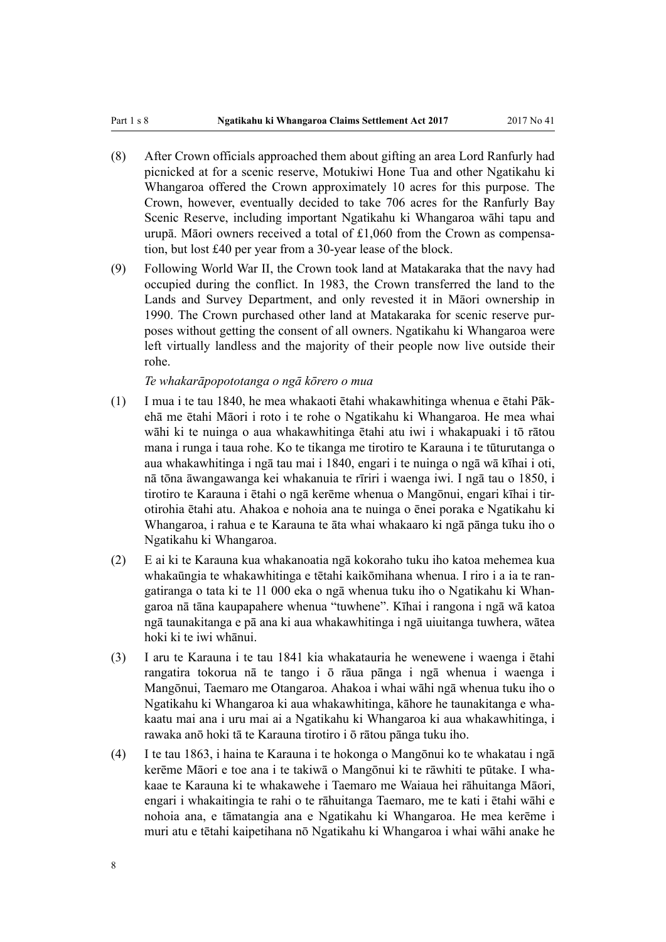- (8) After Crown officials approached them about gifting an area Lord Ranfurly had picnicked at for a scenic reserve, Motukiwi Hone Tua and other Ngatikahu ki Whangaroa offered the Crown approximately 10 acres for this purpose. The Crown, however, eventually decided to take 706 acres for the Ranfurly Bay Scenic Reserve, including important Ngatikahu ki Whangaroa wāhi tapu and urupā. Māori owners received a total of £1,060 from the Crown as compensation, but lost £40 per year from a 30-year lease of the block.
- (9) Following World War II, the Crown took land at Matakaraka that the navy had occupied during the conflict. In 1983, the Crown transferred the land to the Lands and Survey Department, and only revested it in Māori ownership in 1990. The Crown purchased other land at Matakaraka for scenic reserve purposes without getting the consent of all owners. Ngatikahu ki Whangaroa were left virtually landless and the majority of their people now live outside their rohe.

#### *Te whakarāpopototanga o ngā kōrero o mua*

- (1) I mua i te tau 1840, he mea whakaoti ētahi whakawhitinga whenua e ētahi Pākehā me ētahi Māori i roto i te rohe o Ngatikahu ki Whangaroa. He mea whai wāhi ki te nuinga o aua whakawhitinga ētahi atu iwi i whakapuaki i tō rātou mana i runga i taua rohe. Ko te tikanga me tirotiro te Karauna i te tūturutanga o aua whakawhitinga i ngā tau mai i 1840, engari i te nuinga o ngā wā kīhai i oti, nā tōna āwangawanga kei whakanuia te rīriri i waenga iwi. I ngā tau o 1850, i tirotiro te Karauna i ētahi o ngā kerēme whenua o Mangōnui, engari kīhai i tirotirohia ētahi atu. Ahakoa e nohoia ana te nuinga o ēnei poraka e Ngatikahu ki Whangaroa, i rahua e te Karauna te āta whai whakaaro ki ngā pānga tuku iho o Ngatikahu ki Whangaroa.
- (2) E ai ki te Karauna kua whakanoatia ngā kokoraho tuku iho katoa mehemea kua whakaūngia te whakawhitinga e tētahi kaikōmihana whenua. I riro i a ia te rangatiranga o tata ki te 11 000 eka o ngā whenua tuku iho o Ngatikahu ki Whangaroa nā tāna kaupapahere whenua "tuwhene". Kīhai i rangona i ngā wā katoa ngā taunakitanga e pā ana ki aua whakawhitinga i ngā uiuitanga tuwhera, wātea hoki ki te iwi whānui.
- (3) I aru te Karauna i te tau 1841 kia whakatauria he wenewene i waenga i ētahi rangatira tokorua nā te tango i ō rāua pānga i ngā whenua i waenga i Mangōnui, Taemaro me Otangaroa. Ahakoa i whai wāhi ngā whenua tuku iho o Ngatikahu ki Whangaroa ki aua whakawhitinga, kāhore he taunakitanga e whakaatu mai ana i uru mai ai a Ngatikahu ki Whangaroa ki aua whakawhitinga, i rawaka anō hoki tā te Karauna tirotiro i ō rātou pānga tuku iho.
- (4) I te tau 1863, i haina te Karauna i te hokonga o Mangōnui ko te whakatau i ngā kerēme Māori e toe ana i te takiwā o Mangōnui ki te rāwhiti te pūtake. I whakaae te Karauna ki te whakawehe i Taemaro me Waiaua hei rāhuitanga Māori, engari i whakaitingia te rahi o te rāhuitanga Taemaro, me te kati i ētahi wāhi e nohoia ana, e tāmatangia ana e Ngatikahu ki Whangaroa. He mea kerēme i muri atu e tētahi kaipetihana nō Ngatikahu ki Whangaroa i whai wāhi anake he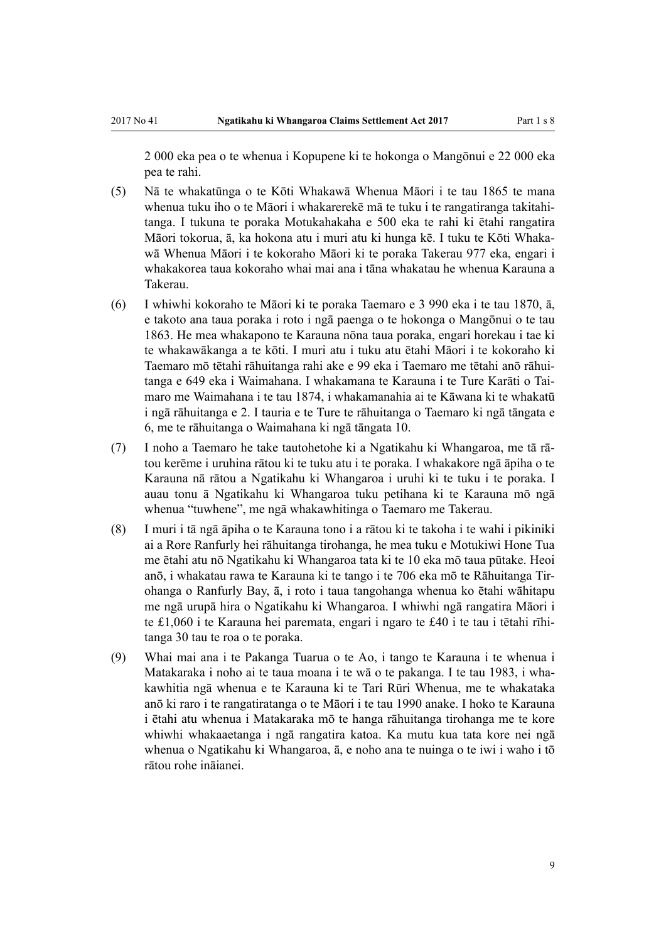2 000 eka pea o te whenua i Kopupene ki te hokonga o Mangōnui e 22 000 eka pea te rahi.

- (5) Nā te whakatūnga o te Kōti Whakawā Whenua Māori i te tau 1865 te mana whenua tuku iho o te Māori i whakarerekē mā te tuku i te rangatiranga takitahitanga. I tukuna te poraka Motukahakaha e 500 eka te rahi ki ētahi rangatira Māori tokorua, ā, ka hokona atu i muri atu ki hunga kē. I tuku te Kōti Whakawā Whenua Māori i te kokoraho Māori ki te poraka Takerau 977 eka, engari i whakakorea taua kokoraho whai mai ana i tāna whakatau he whenua Karauna a Takerau.
- (6) I whiwhi kokoraho te Māori ki te poraka Taemaro e 3 990 eka i te tau 1870, ā, e takoto ana taua poraka i roto i ngā paenga o te hokonga o Mangōnui o te tau 1863. He mea whakapono te Karauna nōna taua poraka, engari horekau i tae ki te whakawākanga a te kōti. I muri atu i tuku atu ētahi Māori i te kokoraho ki Taemaro mō tētahi rāhuitanga rahi ake e 99 eka i Taemaro me tētahi anō rāhuitanga e 649 eka i Waimahana. I whakamana te Karauna i te Ture Karāti o Taimaro me Waimahana i te tau 1874, i whakamanahia ai te Kāwana ki te whakatū i ngā rāhuitanga e 2. I tauria e te Ture te rāhuitanga o Taemaro ki ngā tāngata e 6, me te rāhuitanga o Waimahana ki ngā tāngata 10.
- (7) I noho a Taemaro he take tautohetohe ki a Ngatikahu ki Whangaroa, me tā rātou kerēme i uruhina rātou ki te tuku atu i te poraka. I whakakore ngā āpiha o te Karauna nā rātou a Ngatikahu ki Whangaroa i uruhi ki te tuku i te poraka. I auau tonu ā Ngatikahu ki Whangaroa tuku petihana ki te Karauna mō ngā whenua "tuwhene", me ngā whakawhitinga o Taemaro me Takerau.
- (8) I muri i tā ngā āpiha o te Karauna tono i a rātou ki te takoha i te wahi i pikiniki ai a Rore Ranfurly hei rāhuitanga tirohanga, he mea tuku e Motukiwi Hone Tua me ētahi atu nō Ngatikahu ki Whangaroa tata ki te 10 eka mō taua pūtake. Heoi anō, i whakatau rawa te Karauna ki te tango i te 706 eka mō te Rāhuitanga Tirohanga o Ranfurly Bay, ā, i roto i taua tangohanga whenua ko ētahi wāhitapu me ngā urupā hira o Ngatikahu ki Whangaroa. I whiwhi ngā rangatira Māori i te £1,060 i te Karauna hei paremata, engari i ngaro te £40 i te tau i tētahi rīhitanga 30 tau te roa o te poraka.
- (9) Whai mai ana i te Pakanga Tuarua o te Ao, i tango te Karauna i te whenua i Matakaraka i noho ai te taua moana i te wā o te pakanga. I te tau 1983, i whakawhitia ngā whenua e te Karauna ki te Tari Rūri Whenua, me te whakataka anō ki raro i te rangatiratanga o te Māori i te tau 1990 anake. I hoko te Karauna i ētahi atu whenua i Matakaraka mō te hanga rāhuitanga tirohanga me te kore whiwhi whakaaetanga i ngā rangatira katoa. Ka mutu kua tata kore nei ngā whenua o Ngatikahu ki Whangaroa, ā, e noho ana te nuinga o te iwi i waho i tō rātou rohe ināianei.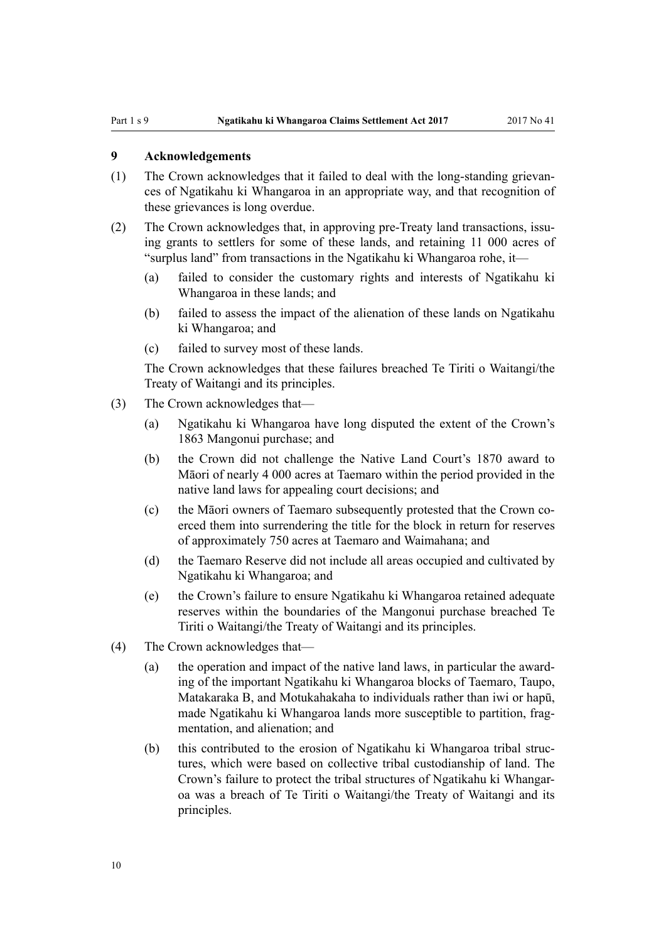#### **9 Acknowledgements**

- (1) The Crown acknowledges that it failed to deal with the long-standing grievances of Ngatikahu ki Whangaroa in an appropriate way, and that recognition of these grievances is long overdue.
- (2) The Crown acknowledges that, in approving pre-Treaty land transactions, issuing grants to settlers for some of these lands, and retaining 11 000 acres of "surplus land" from transactions in the Ngatikahu ki Whangaroa rohe, it—
	- (a) failed to consider the customary rights and interests of Ngatikahu ki Whangaroa in these lands; and
	- (b) failed to assess the impact of the alienation of these lands on Ngatikahu ki Whangaroa; and
	- (c) failed to survey most of these lands.

The Crown acknowledges that these failures breached Te Tiriti o Waitangi/the Treaty of Waitangi and its principles.

- (3) The Crown acknowledges that—
	- (a) Ngatikahu ki Whangaroa have long disputed the extent of the Crown's 1863 Mangonui purchase; and
	- (b) the Crown did not challenge the Native Land Court's 1870 award to Māori of nearly 4 000 acres at Taemaro within the period provided in the native land laws for appealing court decisions; and
	- (c) the Māori owners of Taemaro subsequently protested that the Crown coerced them into surrendering the title for the block in return for reserves of approximately 750 acres at Taemaro and Waimahana; and
	- (d) the Taemaro Reserve did not include all areas occupied and cultivated by Ngatikahu ki Whangaroa; and
	- (e) the Crown's failure to ensure Ngatikahu ki Whangaroa retained adequate reserves within the boundaries of the Mangonui purchase breached Te Tiriti o Waitangi/the Treaty of Waitangi and its principles.
- (4) The Crown acknowledges that—
	- (a) the operation and impact of the native land laws, in particular the awarding of the important Ngatikahu ki Whangaroa blocks of Taemaro, Taupo, Matakaraka B, and Motukahakaha to individuals rather than iwi or hapū, made Ngatikahu ki Whangaroa lands more susceptible to partition, fragmentation, and alienation; and
	- (b) this contributed to the erosion of Ngatikahu ki Whangaroa tribal structures, which were based on collective tribal custodianship of land. The Crown's failure to protect the tribal structures of Ngatikahu ki Whangaroa was a breach of Te Tiriti o Waitangi/the Treaty of Waitangi and its principles.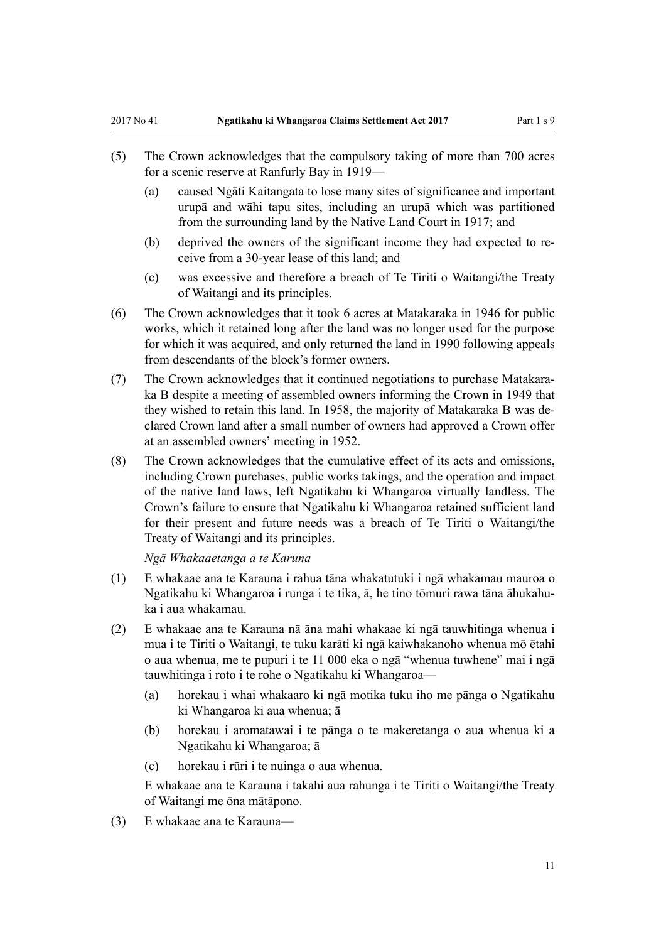- (5) The Crown acknowledges that the compulsory taking of more than 700 acres for a scenic reserve at Ranfurly Bay in 1919—
	- (a) caused Ngāti Kaitangata to lose many sites of significance and important urupā and wāhi tapu sites, including an urupā which was partitioned from the surrounding land by the Native Land Court in 1917; and
	- (b) deprived the owners of the significant income they had expected to receive from a 30-year lease of this land; and
	- (c) was excessive and therefore a breach of Te Tiriti o Waitangi/the Treaty of Waitangi and its principles.
- (6) The Crown acknowledges that it took 6 acres at Matakaraka in 1946 for public works, which it retained long after the land was no longer used for the purpose for which it was acquired, and only returned the land in 1990 following appeals from descendants of the block's former owners.
- (7) The Crown acknowledges that it continued negotiations to purchase Matakaraka B despite a meeting of assembled owners informing the Crown in 1949 that they wished to retain this land. In 1958, the majority of Matakaraka B was declared Crown land after a small number of owners had approved a Crown offer at an assembled owners' meeting in 1952.
- (8) The Crown acknowledges that the cumulative effect of its acts and omissions, including Crown purchases, public works takings, and the operation and impact of the native land laws, left Ngatikahu ki Whangaroa virtually landless. The Crown's failure to ensure that Ngatikahu ki Whangaroa retained sufficient land for their present and future needs was a breach of Te Tiriti o Waitangi/the Treaty of Waitangi and its principles.

*Ngā Whakaaetanga a te Karuna*

- (1) E whakaae ana te Karauna i rahua tāna whakatutuki i ngā whakamau mauroa o Ngatikahu ki Whangaroa i runga i te tika, ā, he tino tōmuri rawa tāna āhukahuka i aua whakamau.
- (2) E whakaae ana te Karauna nā āna mahi whakaae ki ngā tauwhitinga whenua i mua i te Tiriti o Waitangi, te tuku karāti ki ngā kaiwhakanoho whenua mō ētahi o aua whenua, me te pupuri i te 11 000 eka o ngā "whenua tuwhene" mai i ngā tauwhitinga i roto i te rohe o Ngatikahu ki Whangaroa—
	- (a) horekau i whai whakaaro ki ngā motika tuku iho me pānga o Ngatikahu ki Whangaroa ki aua whenua; ā
	- (b) horekau i aromatawai i te pānga o te makeretanga o aua whenua ki a Ngatikahu ki Whangaroa; ā
	- (c) horekau i rūri i te nuinga o aua whenua.

E whakaae ana te Karauna i takahi aua rahunga i te Tiriti o Waitangi/the Treaty of Waitangi me ōna mātāpono.

(3) E whakaae ana te Karauna—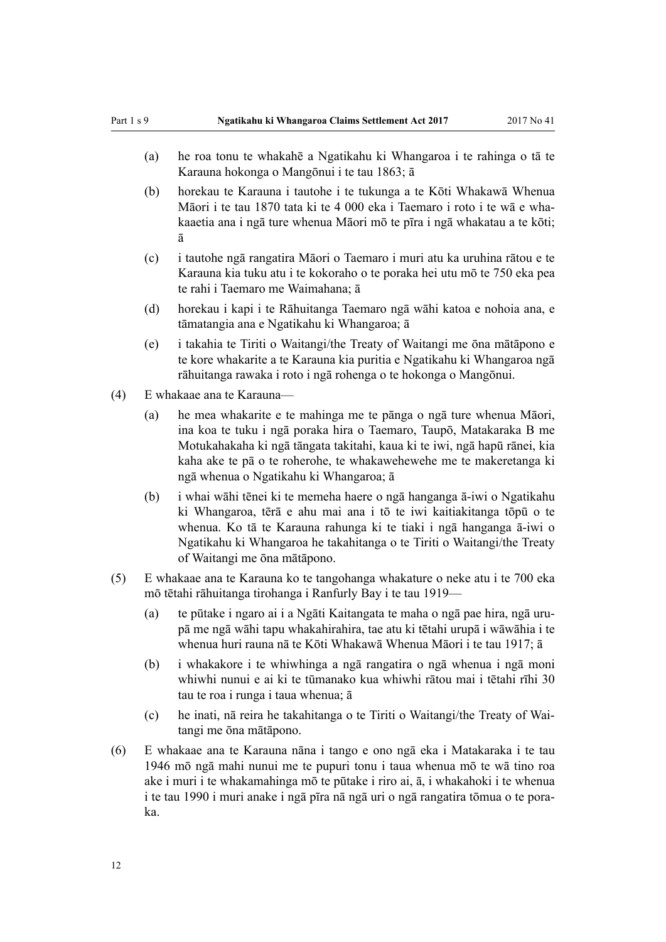- (a) he roa tonu te whakahē a Ngatikahu ki Whangaroa i te rahinga o tā te Karauna hokonga o Mangōnui i te tau 1863; ā
- (b) horekau te Karauna i tautohe i te tukunga a te Kōti Whakawā Whenua Māori i te tau 1870 tata ki te 4 000 eka i Taemaro i roto i te wā e whakaaetia ana i ngā ture whenua Māori mō te pīra i ngā whakatau a te kōti; ā
- (c) i tautohe ngā rangatira Māori o Taemaro i muri atu ka uruhina rātou e te Karauna kia tuku atu i te kokoraho o te poraka hei utu mō te 750 eka pea te rahi i Taemaro me Waimahana; ā
- (d) horekau i kapi i te Rāhuitanga Taemaro ngā wāhi katoa e nohoia ana, e tāmatangia ana e Ngatikahu ki Whangaroa; ā
- (e) i takahia te Tiriti o Waitangi/the Treaty of Waitangi me ōna mātāpono e te kore whakarite a te Karauna kia puritia e Ngatikahu ki Whangaroa ngā rāhuitanga rawaka i roto i ngā rohenga o te hokonga o Mangōnui.
- (4) E whakaae ana te Karauna—
	- (a) he mea whakarite e te mahinga me te pānga o ngā ture whenua Māori, ina koa te tuku i ngā poraka hira o Taemaro, Taupō, Matakaraka B me Motukahakaha ki ngā tāngata takitahi, kaua ki te iwi, ngā hapū rānei, kia kaha ake te pā o te roherohe, te whakawehewehe me te makeretanga ki ngā whenua o Ngatikahu ki Whangaroa; ā
	- (b) i whai wāhi tēnei ki te memeha haere o ngā hanganga ā-iwi o Ngatikahu ki Whangaroa, tērā e ahu mai ana i tō te iwi kaitiakitanga tōpū o te whenua. Ko tā te Karauna rahunga ki te tiaki i ngā hanganga ā-iwi o Ngatikahu ki Whangaroa he takahitanga o te Tiriti o Waitangi/the Treaty of Waitangi me ōna mātāpono.
- (5) E whakaae ana te Karauna ko te tangohanga whakature o neke atu i te 700 eka mō tētahi rāhuitanga tirohanga i Ranfurly Bay i te tau 1919—
	- (a) te pūtake i ngaro ai i a Ngāti Kaitangata te maha o ngā pae hira, ngā urupā me ngā wāhi tapu whakahirahira, tae atu ki tētahi urupā i wāwāhia i te whenua huri rauna nā te Kōti Whakawā Whenua Māori i te tau 1917; ā
	- (b) i whakakore i te whiwhinga a ngā rangatira o ngā whenua i ngā moni whiwhi nunui e ai ki te tūmanako kua whiwhi rātou mai i tētahi rīhi 30 tau te roa i runga i taua whenua; ā
	- (c) he inati, nā reira he takahitanga o te Tiriti o Waitangi/the Treaty of Waitangi me ōna mātāpono.
- (6) E whakaae ana te Karauna nāna i tango e ono ngā eka i Matakaraka i te tau 1946 mō ngā mahi nunui me te pupuri tonu i taua whenua mō te wā tino roa ake i muri i te whakamahinga mō te pūtake i riro ai, ā, i whakahoki i te whenua i te tau 1990 i muri anake i ngā pīra nā ngā uri o ngā rangatira tōmua o te poraka.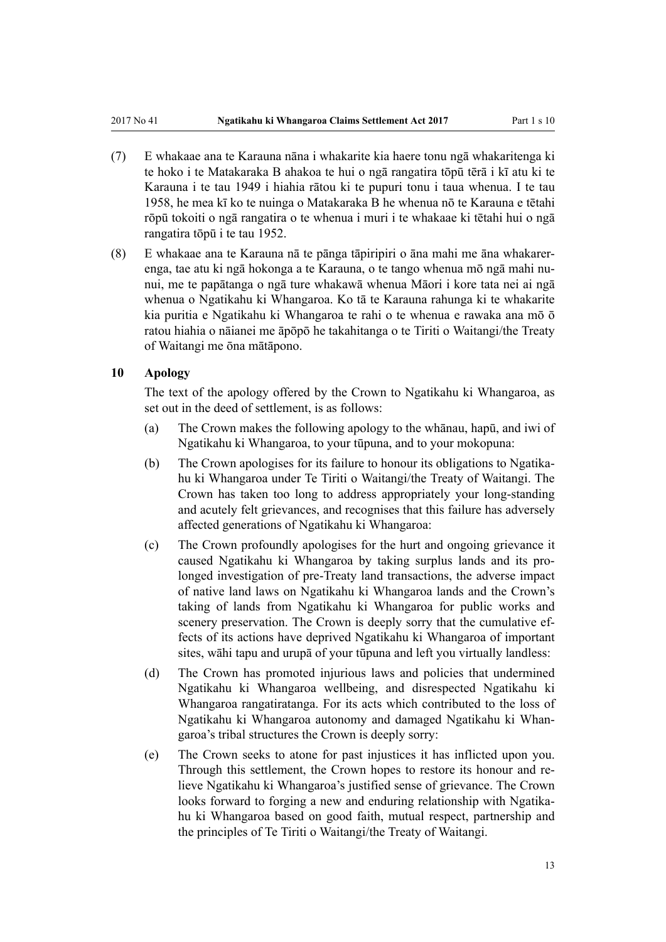- (7) E whakaae ana te Karauna nāna i whakarite kia haere tonu ngā whakaritenga ki te hoko i te Matakaraka B ahakoa te hui o ngā rangatira tōpū tērā i kī atu ki te Karauna i te tau 1949 i hiahia rātou ki te pupuri tonu i taua whenua. I te tau 1958, he mea kī ko te nuinga o Matakaraka B he whenua nō te Karauna e tētahi rōpū tokoiti o ngā rangatira o te whenua i muri i te whakaae ki tētahi hui o ngā rangatira tōpū i te tau 1952.
- (8) E whakaae ana te Karauna nā te pānga tāpiripiri o āna mahi me āna whakarerenga, tae atu ki ngā hokonga a te Karauna, o te tango whenua mō ngā mahi nunui, me te papātanga o ngā ture whakawā whenua Māori i kore tata nei ai ngā whenua o Ngatikahu ki Whangaroa. Ko tā te Karauna rahunga ki te whakarite kia puritia e Ngatikahu ki Whangaroa te rahi o te whenua e rawaka ana mō ō ratou hiahia o nāianei me āpōpō he takahitanga o te Tiriti o Waitangi/the Treaty of Waitangi me ōna mātāpono.

#### **10 Apology**

The text of the apology offered by the Crown to Ngatikahu ki Whangaroa, as set out in the deed of settlement, is as follows:

- (a) The Crown makes the following apology to the whānau, hapū, and iwi of Ngatikahu ki Whangaroa, to your tūpuna, and to your mokopuna:
- (b) The Crown apologises for its failure to honour its obligations to Ngatikahu ki Whangaroa under Te Tiriti o Waitangi/the Treaty of Waitangi. The Crown has taken too long to address appropriately your long-standing and acutely felt grievances, and recognises that this failure has adversely affected generations of Ngatikahu ki Whangaroa:
- (c) The Crown profoundly apologises for the hurt and ongoing grievance it caused Ngatikahu ki Whangaroa by taking surplus lands and its prolonged investigation of pre-Treaty land transactions, the adverse impact of native land laws on Ngatikahu ki Whangaroa lands and the Crown's taking of lands from Ngatikahu ki Whangaroa for public works and scenery preservation. The Crown is deeply sorry that the cumulative effects of its actions have deprived Ngatikahu ki Whangaroa of important sites, wāhi tapu and urupā of your tūpuna and left you virtually landless:
- (d) The Crown has promoted injurious laws and policies that undermined Ngatikahu ki Whangaroa wellbeing, and disrespected Ngatikahu ki Whangaroa rangatiratanga. For its acts which contributed to the loss of Ngatikahu ki Whangaroa autonomy and damaged Ngatikahu ki Whangaroa's tribal structures the Crown is deeply sorry:
- (e) The Crown seeks to atone for past injustices it has inflicted upon you. Through this settlement, the Crown hopes to restore its honour and relieve Ngatikahu ki Whangaroa's justified sense of grievance. The Crown looks forward to forging a new and enduring relationship with Ngatikahu ki Whangaroa based on good faith, mutual respect, partnership and the principles of Te Tiriti o Waitangi/the Treaty of Waitangi.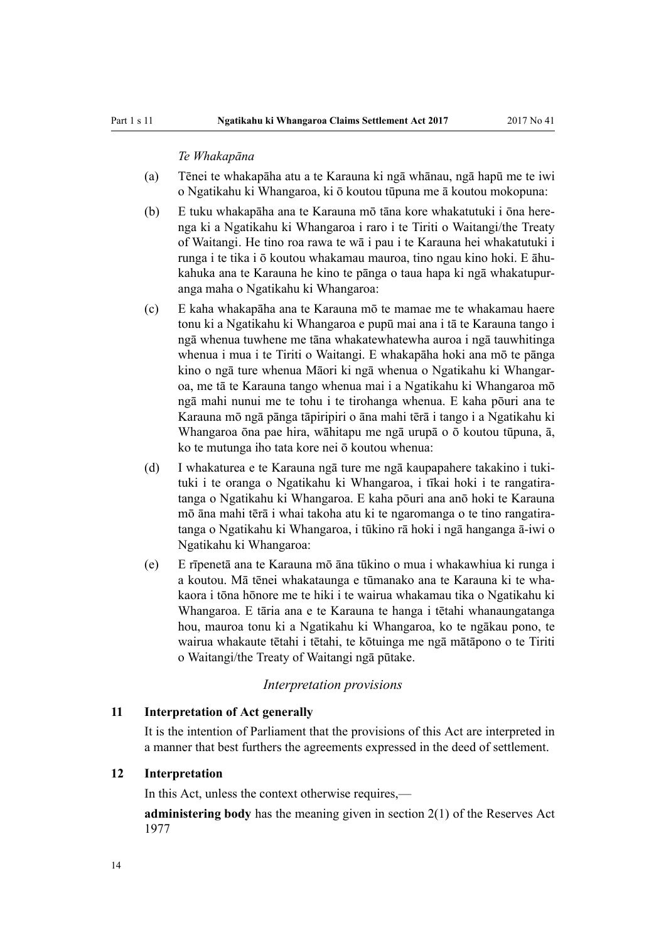#### *Te Whakapāna*

- (a) Tēnei te whakapāha atu a te Karauna ki ngā whānau, ngā hapū me te iwi o Ngatikahu ki Whangaroa, ki ō koutou tūpuna me ā koutou mokopuna:
- (b) E tuku whakapāha ana te Karauna mō tāna kore whakatutuki i ōna herenga ki a Ngatikahu ki Whangaroa i raro i te Tiriti o Waitangi/the Treaty of Waitangi. He tino roa rawa te wā i pau i te Karauna hei whakatutuki i runga i te tika i ō koutou whakamau mauroa, tino ngau kino hoki. E āhukahuka ana te Karauna he kino te pānga o taua hapa ki ngā whakatupuranga maha o Ngatikahu ki Whangaroa:
- (c) E kaha whakapāha ana te Karauna mō te mamae me te whakamau haere tonu ki a Ngatikahu ki Whangaroa e pupū mai ana i tā te Karauna tango i ngā whenua tuwhene me tāna whakatewhatewha auroa i ngā tauwhitinga whenua i mua i te Tiriti o Waitangi. E whakapāha hoki ana mō te pānga kino o ngā ture whenua Māori ki ngā whenua o Ngatikahu ki Whangaroa, me tā te Karauna tango whenua mai i a Ngatikahu ki Whangaroa mō ngā mahi nunui me te tohu i te tirohanga whenua. E kaha pōuri ana te Karauna mō ngā pānga tāpiripiri o āna mahi tērā i tango i a Ngatikahu ki Whangaroa ōna pae hira, wāhitapu me ngā urupā o ō koutou tūpuna, ā, ko te mutunga iho tata kore nei ō koutou whenua:
- (d) I whakaturea e te Karauna ngā ture me ngā kaupapahere takakino i tukituki i te oranga o Ngatikahu ki Whangaroa, i tīkai hoki i te rangatiratanga o Ngatikahu ki Whangaroa. E kaha pōuri ana anō hoki te Karauna mō āna mahi tērā i whai takoha atu ki te ngaromanga o te tino rangatiratanga o Ngatikahu ki Whangaroa, i tūkino rā hoki i ngā hanganga ā-iwi o Ngatikahu ki Whangaroa:
- (e) E rīpenetā ana te Karauna mō āna tūkino o mua i whakawhiua ki runga i a koutou. Mā tēnei whakataunga e tūmanako ana te Karauna ki te whakaora i tōna hōnore me te hiki i te wairua whakamau tika o Ngatikahu ki Whangaroa. E tāria ana e te Karauna te hanga i tētahi whanaungatanga hou, mauroa tonu ki a Ngatikahu ki Whangaroa, ko te ngākau pono, te wairua whakaute tētahi i tētahi, te kōtuinga me ngā mātāpono o te Tiriti o Waitangi/the Treaty of Waitangi ngā pūtake.

#### *Interpretation provisions*

#### **11 Interpretation of Act generally**

It is the intention of Parliament that the provisions of this Act are interpreted in a manner that best furthers the agreements expressed in the deed of settlement.

#### **12 Interpretation**

In this Act, unless the context otherwise requires,—

**administering body** has the meaning given in section 2(1) of the Reserves Act 1977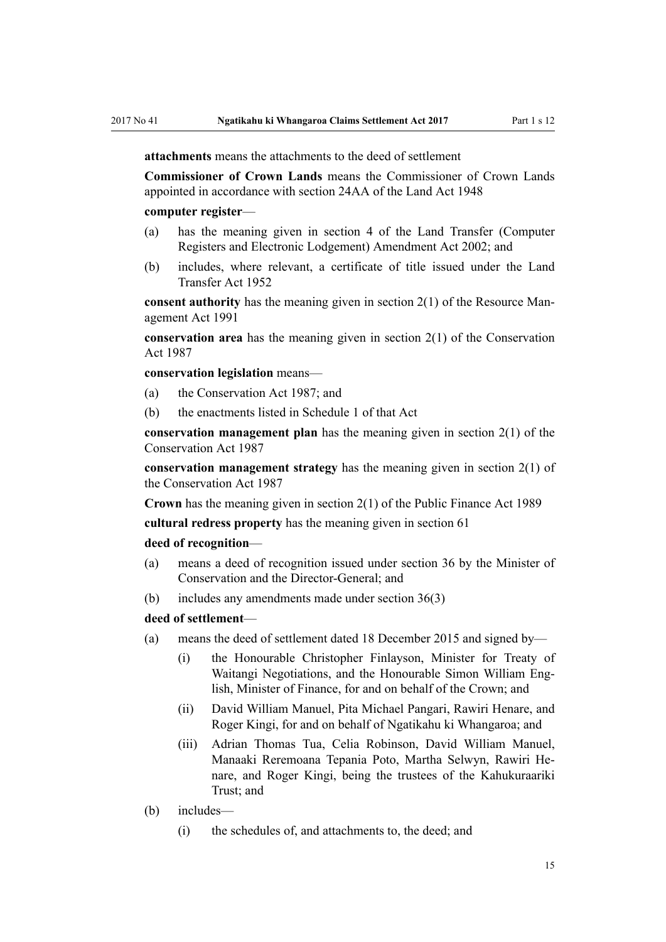**attachments** means the attachments to the deed of settlement

**Commissioner of Crown Lands** means the Commissioner of Crown Lands appointed in accordance with section 24AA of the Land Act 1948

#### **computer register**—

- (a) has the meaning given in section 4 of the Land Transfer (Computer Registers and Electronic Lodgement) Amendment Act 2002; and
- (b) includes, where relevant, a certificate of title issued under the Land Transfer Act 1952

**consent authority** has the meaning given in section 2(1) of the Resource Management Act 1991

**conservation area** has the meaning given in section 2(1) of the Conservation Act 1987

#### **conservation legislation** means—

- (a) the Conservation Act 1987; and
- (b) the enactments listed in Schedule 1 of that Act

**conservation management plan** has the meaning given in section 2(1) of the Conservation Act 1987

**conservation management strategy** has the meaning given in section 2(1) of the Conservation Act 1987

**Crown** has the meaning given in section 2(1) of the Public Finance Act 1989

**cultural redress property** has the meaning given in section 61

#### **deed of recognition**—

- (a) means a deed of recognition issued under section 36 by the Minister of Conservation and the Director-General; and
- (b) includes any amendments made under section 36(3)

#### **deed of settlement**—

- (a) means the deed of settlement dated 18 December 2015 and signed by—
	- (i) the Honourable Christopher Finlayson, Minister for Treaty of Waitangi Negotiations, and the Honourable Simon William English, Minister of Finance, for and on behalf of the Crown; and
	- (ii) David William Manuel, Pita Michael Pangari, Rawiri Henare, and Roger Kingi, for and on behalf of Ngatikahu ki Whangaroa; and
	- (iii) Adrian Thomas Tua, Celia Robinson, David William Manuel, Manaaki Reremoana Tepania Poto, Martha Selwyn, Rawiri Henare, and Roger Kingi, being the trustees of the Kahukuraariki Trust; and
- (b) includes—
	- (i) the schedules of, and attachments to, the deed; and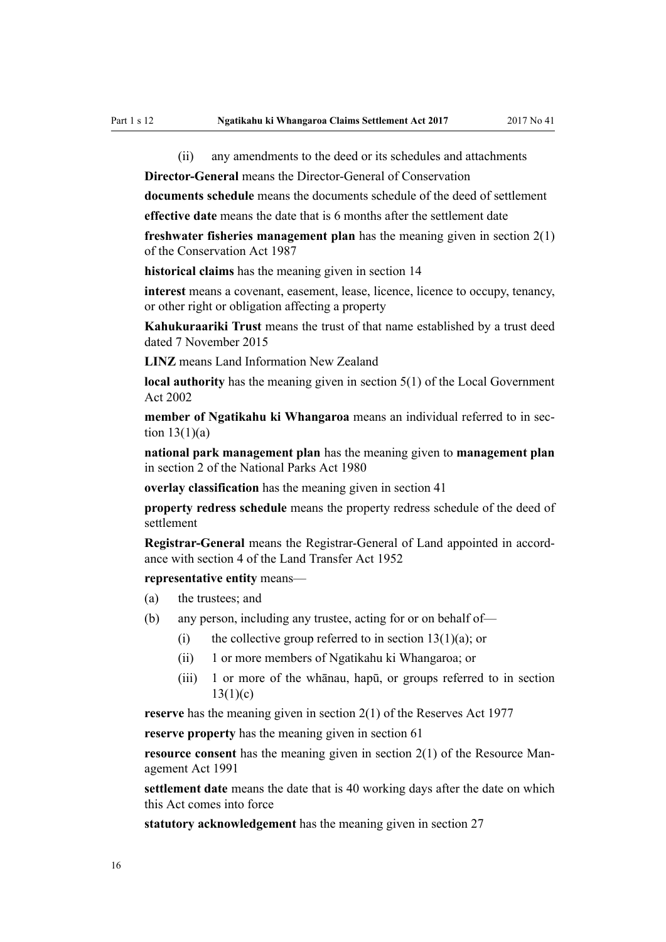(ii) any amendments to the deed or its schedules and attachments

**Director-General** means the Director-General of Conservation

**documents schedule** means the documents schedule of the deed of settlement

**effective date** means the date that is 6 months after the settlement date

**freshwater fisheries management plan** has the meaning given in section 2(1) of the Conservation Act 1987

**historical claims** has the meaning given in section 14

**interest** means a covenant, easement, lease, licence, licence to occupy, tenancy, or other right or obligation affecting a property

**Kahukuraariki Trust** means the trust of that name established by a trust deed dated 7 November 2015

**LINZ** means Land Information New Zealand

**local authority** has the meaning given in section 5(1) of the Local Government Act 2002

**member of Ngatikahu ki Whangaroa** means an individual referred to in section  $13(1)(a)$ 

**national park management plan** has the meaning given to **management plan** in section 2 of the National Parks Act 1980

**overlay classification** has the meaning given in section 41

**property redress schedule** means the property redress schedule of the deed of settlement

**Registrar-General** means the Registrar-General of Land appointed in accordance with section 4 of the Land Transfer Act 1952

**representative entity** means—

- (a) the trustees; and
- (b) any person, including any trustee, acting for or on behalf of—
	- (i) the collective group referred to in section  $13(1)(a)$ ; or
	- (ii) 1 or more members of Ngatikahu ki Whangaroa; or
	- (iii) 1 or more of the whānau, hapū, or groups referred to in section  $13(1)(c)$

**reserve** has the meaning given in section 2(1) of the Reserves Act 1977

**reserve property** has the meaning given in section 61

**resource consent** has the meaning given in section 2(1) of the Resource Management Act 1991

**settlement date** means the date that is 40 working days after the date on which this Act comes into force

**statutory acknowledgement** has the meaning given in section 27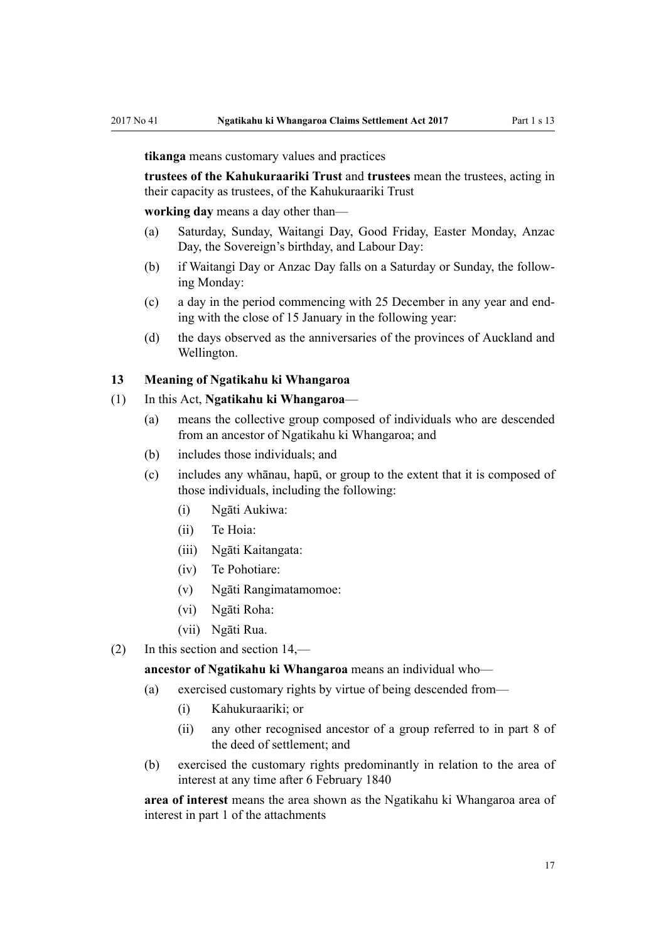**tikanga** means customary values and practices

**trustees of the Kahukuraariki Trust** and **trustees** mean the trustees, acting in their capacity as trustees, of the Kahukuraariki Trust

**working day** means a day other than—

- (a) Saturday, Sunday, Waitangi Day, Good Friday, Easter Monday, Anzac Day, the Sovereign's birthday, and Labour Day:
- (b) if Waitangi Day or Anzac Day falls on a Saturday or Sunday, the following Monday:
- (c) a day in the period commencing with 25 December in any year and ending with the close of 15 January in the following year:
- (d) the days observed as the anniversaries of the provinces of Auckland and Wellington.

#### **13 Meaning of Ngatikahu ki Whangaroa**

#### (1) In this Act, **Ngatikahu ki Whangaroa**—

- (a) means the collective group composed of individuals who are descended from an ancestor of Ngatikahu ki Whangaroa; and
- (b) includes those individuals; and
- (c) includes any whānau, hapū, or group to the extent that it is composed of those individuals, including the following:
	- (i) Ngāti Aukiwa:
	- (ii) Te Hoia:
	- (iii) Ngāti Kaitangata:
	- (iv) Te Pohotiare:
	- (v) Ngāti Rangimatamomoe:
	- (vi) Ngāti Roha:
	- (vii) Ngāti Rua.
- (2) In this section and section 14,—

**ancestor of Ngatikahu ki Whangaroa** means an individual who—

- (a) exercised customary rights by virtue of being descended from—
	- (i) Kahukuraariki; or
	- (ii) any other recognised ancestor of a group referred to in part 8 of the deed of settlement; and
- (b) exercised the customary rights predominantly in relation to the area of interest at any time after 6 February 1840

**area of interest** means the area shown as the Ngatikahu ki Whangaroa area of interest in part 1 of the attachments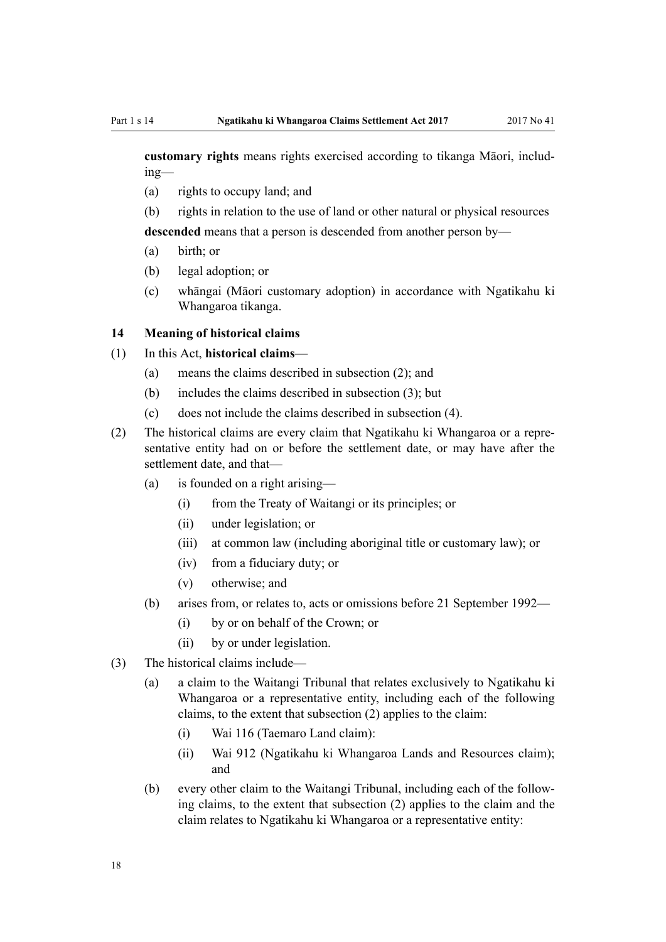**customary rights** means rights exercised according to tikanga Māori, including—

- (a) rights to occupy land; and
- (b) rights in relation to the use of land or other natural or physical resources

**descended** means that a person is descended from another person by—

- (a) birth; or
- (b) legal adoption; or
- (c) whāngai (Māori customary adoption) in accordance with Ngatikahu ki Whangaroa tikanga.

#### **14 Meaning of historical claims**

- (1) In this Act, **historical claims**
	- (a) means the claims described in subsection (2); and
	- (b) includes the claims described in subsection (3); but
	- (c) does not include the claims described in subsection (4).
- (2) The historical claims are every claim that Ngatikahu ki Whangaroa or a representative entity had on or before the settlement date, or may have after the settlement date, and that—
	- (a) is founded on a right arising—
		- (i) from the Treaty of Waitangi or its principles; or
		- (ii) under legislation; or
		- (iii) at common law (including aboriginal title or customary law); or
		- (iv) from a fiduciary duty; or
		- (v) otherwise; and
	- (b) arises from, or relates to, acts or omissions before 21 September 1992—
		- (i) by or on behalf of the Crown; or
		- (ii) by or under legislation.
- (3) The historical claims include—
	- (a) a claim to the Waitangi Tribunal that relates exclusively to Ngatikahu ki Whangaroa or a representative entity, including each of the following claims, to the extent that subsection (2) applies to the claim:
		- (i) Wai 116 (Taemaro Land claim):
		- (ii) Wai 912 (Ngatikahu ki Whangaroa Lands and Resources claim); and
	- (b) every other claim to the Waitangi Tribunal, including each of the following claims, to the extent that subsection (2) applies to the claim and the claim relates to Ngatikahu ki Whangaroa or a representative entity: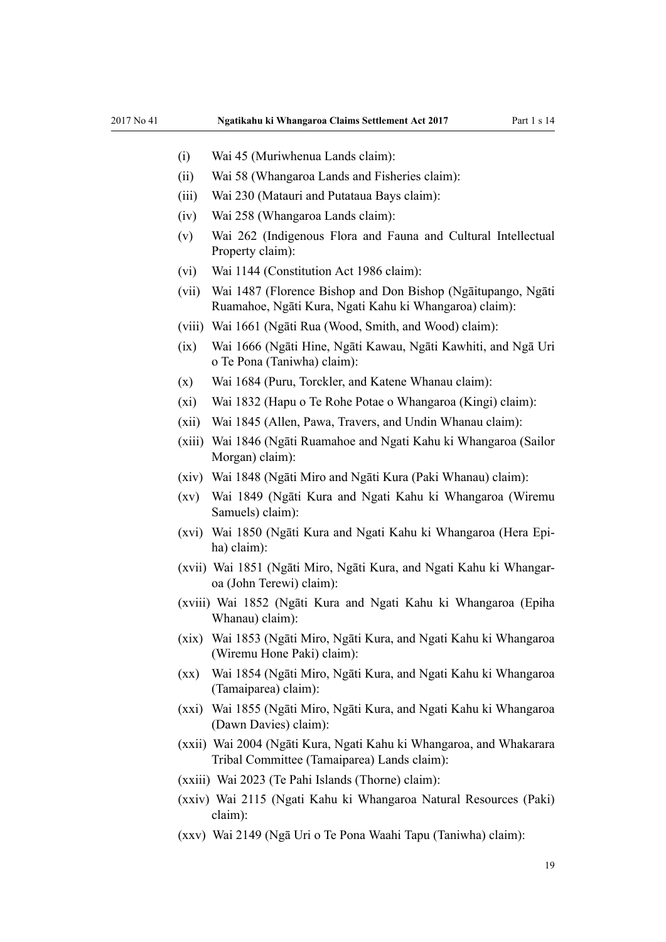- (i) Wai 45 (Muriwhenua Lands claim):
- (ii) Wai 58 (Whangaroa Lands and Fisheries claim):
- (iii) Wai 230 (Matauri and Putataua Bays claim):
- (iv) Wai 258 (Whangaroa Lands claim):
- (v) Wai 262 (Indigenous Flora and Fauna and Cultural Intellectual Property claim):
- (vi) Wai 1144 (Constitution Act 1986 claim):
- (vii) Wai 1487 (Florence Bishop and Don Bishop (Ngāitupango, Ngāti Ruamahoe, Ngāti Kura, Ngati Kahu ki Whangaroa) claim):
- (viii) Wai 1661 (Ngāti Rua (Wood, Smith, and Wood) claim):
- (ix) Wai 1666 (Ngāti Hine, Ngāti Kawau, Ngāti Kawhiti, and Ngā Uri o Te Pona (Taniwha) claim):
- (x) Wai 1684 (Puru, Torckler, and Katene Whanau claim):
- (xi) Wai 1832 (Hapu o Te Rohe Potae o Whangaroa (Kingi) claim):
- (xii) Wai 1845 (Allen, Pawa, Travers, and Undin Whanau claim):
- (xiii) Wai 1846 (Ngāti Ruamahoe and Ngati Kahu ki Whangaroa (Sailor Morgan) claim):
- (xiv) Wai 1848 (Ngāti Miro and Ngāti Kura (Paki Whanau) claim):
- (xv) Wai 1849 (Ngāti Kura and Ngati Kahu ki Whangaroa (Wiremu Samuels) claim):
- (xvi) Wai 1850 (Ngāti Kura and Ngati Kahu ki Whangaroa (Hera Epiha) claim):
- (xvii) Wai 1851 (Ngāti Miro, Ngāti Kura, and Ngati Kahu ki Whangaroa (John Terewi) claim):
- (xviii) Wai 1852 (Ngāti Kura and Ngati Kahu ki Whangaroa (Epiha Whanau) claim):
- (xix) Wai 1853 (Ngāti Miro, Ngāti Kura, and Ngati Kahu ki Whangaroa (Wiremu Hone Paki) claim):
- (xx) Wai 1854 (Ngāti Miro, Ngāti Kura, and Ngati Kahu ki Whangaroa (Tamaiparea) claim):
- (xxi) Wai 1855 (Ngāti Miro, Ngāti Kura, and Ngati Kahu ki Whangaroa (Dawn Davies) claim):
- (xxii) Wai 2004 (Ngāti Kura, Ngati Kahu ki Whangaroa, and Whakarara Tribal Committee (Tamaiparea) Lands claim):
- (xxiii) Wai 2023 (Te Pahi Islands (Thorne) claim):
- (xxiv) Wai 2115 (Ngati Kahu ki Whangaroa Natural Resources (Paki) claim):
- (xxv) Wai 2149 (Ngā Uri o Te Pona Waahi Tapu (Taniwha) claim):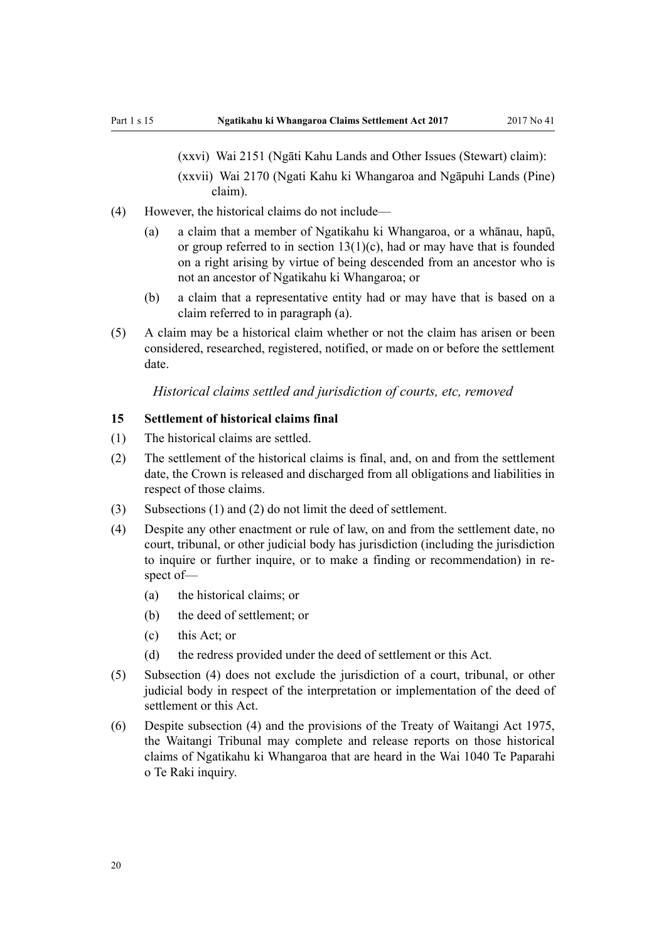- (xxvi) Wai 2151 (Ngāti Kahu Lands and Other Issues (Stewart) claim):
- (xxvii) Wai 2170 (Ngati Kahu ki Whangaroa and Ngāpuhi Lands (Pine) claim).
- (4) However, the historical claims do not include—
	- (a) a claim that a member of Ngatikahu ki Whangaroa, or a whānau, hapū, or group referred to in section  $13(1)(c)$ , had or may have that is founded on a right arising by virtue of being descended from an ancestor who is not an ancestor of Ngatikahu ki Whangaroa; or
	- (b) a claim that a representative entity had or may have that is based on a claim referred to in paragraph (a).
- (5) A claim may be a historical claim whether or not the claim has arisen or been considered, researched, registered, notified, or made on or before the settlement date.

#### *Historical claims settled and jurisdiction of courts, etc, removed*

#### **15 Settlement of historical claims final**

- (1) The historical claims are settled.
- (2) The settlement of the historical claims is final, and, on and from the settlement date, the Crown is released and discharged from all obligations and liabilities in respect of those claims.
- (3) Subsections (1) and (2) do not limit the deed of settlement.
- (4) Despite any other enactment or rule of law, on and from the settlement date, no court, tribunal, or other judicial body has jurisdiction (including the jurisdiction to inquire or further inquire, or to make a finding or recommendation) in respect of—
	- (a) the historical claims; or
	- (b) the deed of settlement; or
	- (c) this Act; or
	- (d) the redress provided under the deed of settlement or this Act.
- (5) Subsection (4) does not exclude the jurisdiction of a court, tribunal, or other judicial body in respect of the interpretation or implementation of the deed of settlement or this Act.
- (6) Despite subsection (4) and the provisions of the Treaty of Waitangi Act 1975, the Waitangi Tribunal may complete and release reports on those historical claims of Ngatikahu ki Whangaroa that are heard in the Wai 1040 Te Paparahi o Te Raki inquiry.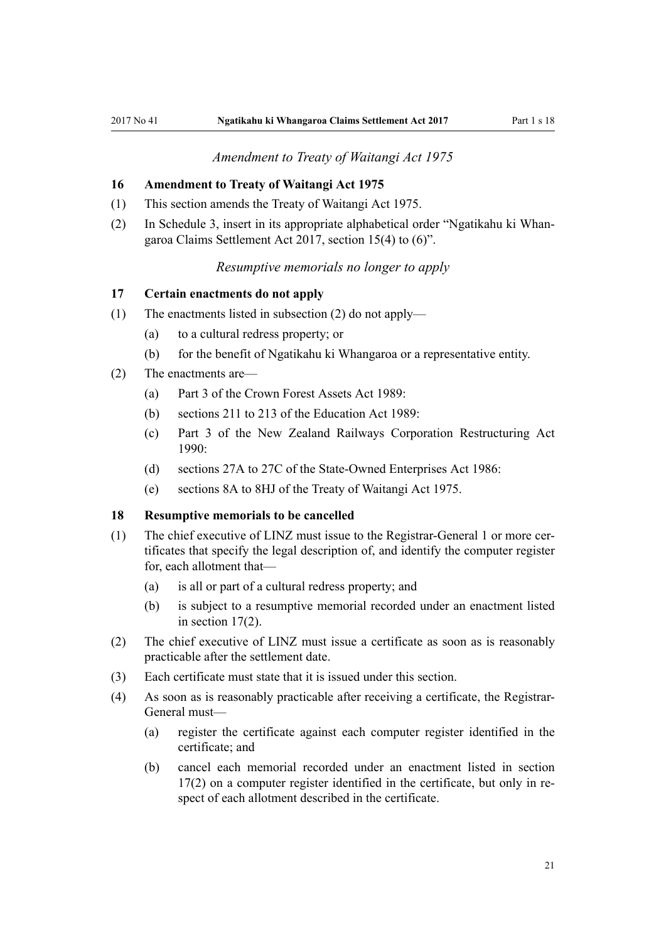#### *Amendment to Treaty of Waitangi Act 1975*

#### **16 Amendment to Treaty of Waitangi Act 1975**

- (1) This section amends the Treaty of Waitangi Act 1975.
- (2) In Schedule 3, insert in its appropriate alphabetical order "Ngatikahu ki Whangaroa Claims Settlement Act 2017, section 15(4) to (6)".

#### *Resumptive memorials no longer to apply*

#### **17 Certain enactments do not apply**

- (1) The enactments listed in subsection (2) do not apply—
	- (a) to a cultural redress property; or
	- (b) for the benefit of Ngatikahu ki Whangaroa or a representative entity.
- (2) The enactments are—
	- (a) Part 3 of the Crown Forest Assets Act 1989:
	- (b) sections 211 to 213 of the Education Act 1989:
	- (c) Part 3 of the New Zealand Railways Corporation Restructuring Act  $1990$
	- (d) sections 27A to 27C of the State-Owned Enterprises Act 1986:
	- (e) sections 8A to 8HJ of the Treaty of Waitangi Act 1975.

#### **18 Resumptive memorials to be cancelled**

- (1) The chief executive of LINZ must issue to the Registrar-General 1 or more certificates that specify the legal description of, and identify the computer register for, each allotment that—
	- (a) is all or part of a cultural redress property; and
	- (b) is subject to a resumptive memorial recorded under an enactment listed in section 17(2).
- (2) The chief executive of LINZ must issue a certificate as soon as is reasonably practicable after the settlement date.
- (3) Each certificate must state that it is issued under this section.
- (4) As soon as is reasonably practicable after receiving a certificate, the Registrar-General must—
	- (a) register the certificate against each computer register identified in the certificate; and
	- (b) cancel each memorial recorded under an enactment listed in section 17(2) on a computer register identified in the certificate, but only in respect of each allotment described in the certificate.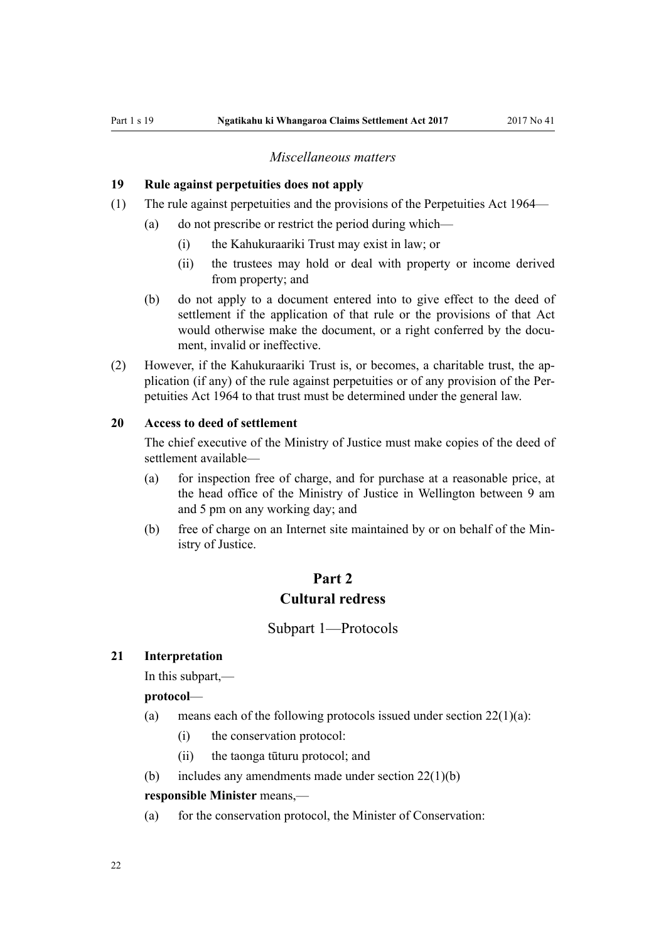#### *Miscellaneous matters*

#### **19 Rule against perpetuities does not apply**

- (1) The rule against perpetuities and the provisions of the Perpetuities Act 1964—
	- (a) do not prescribe or restrict the period during which—
		- (i) the Kahukuraariki Trust may exist in law; or
		- (ii) the trustees may hold or deal with property or income derived from property; and
	- (b) do not apply to a document entered into to give effect to the deed of settlement if the application of that rule or the provisions of that Act would otherwise make the document, or a right conferred by the document, invalid or ineffective.
- (2) However, if the Kahukuraariki Trust is, or becomes, a charitable trust, the application (if any) of the rule against perpetuities or of any provision of the Perpetuities Act 1964 to that trust must be determined under the general law.

#### **20 Access to deed of settlement**

The chief executive of the Ministry of Justice must make copies of the deed of settlement available—

- (a) for inspection free of charge, and for purchase at a reasonable price, at the head office of the Ministry of Justice in Wellington between 9 am and 5 pm on any working day; and
- (b) free of charge on an Internet site maintained by or on behalf of the Ministry of Justice.

# **Part 2**

# **Cultural redress**

#### Subpart 1—Protocols

#### **21 Interpretation**

In this subpart,—

#### **protocol**—

- (a) means each of the following protocols issued under section  $22(1)(a)$ :
	- (i) the conservation protocol:
	- (ii) the taonga tūturu protocol; and
- (b) includes any amendments made under section  $22(1)(b)$

#### **responsible Minister** means,—

(a) for the conservation protocol, the Minister of Conservation: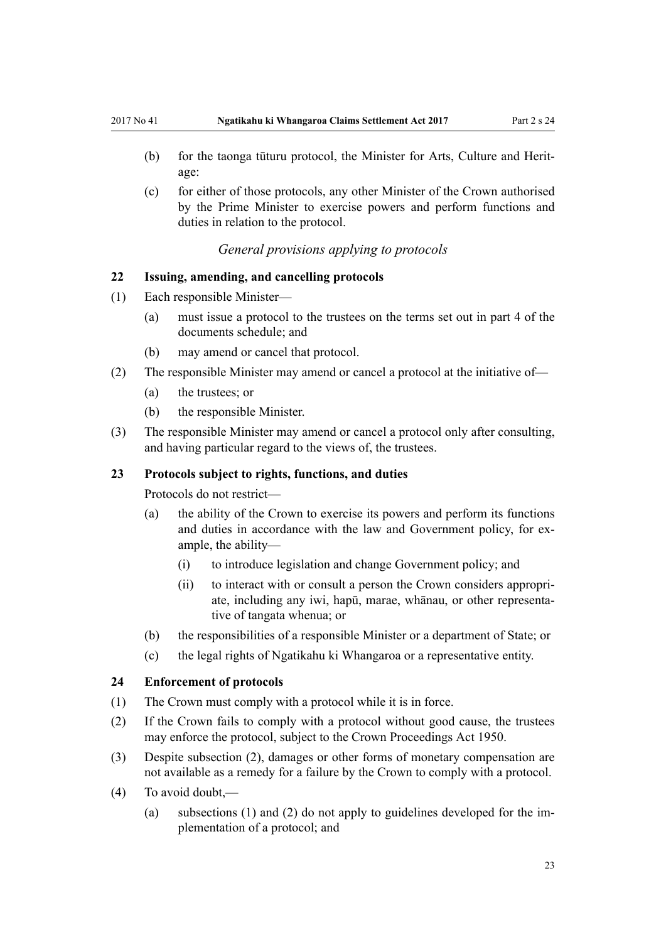- (b) for the taonga tūturu protocol, the Minister for Arts, Culture and Heritage:
- (c) for either of those protocols, any other Minister of the Crown authorised by the Prime Minister to exercise powers and perform functions and duties in relation to the protocol.

#### *General provisions applying to protocols*

#### **22 Issuing, amending, and cancelling protocols**

- (1) Each responsible Minister—
	- (a) must issue a protocol to the trustees on the terms set out in part 4 of the documents schedule; and
	- (b) may amend or cancel that protocol.
- (2) The responsible Minister may amend or cancel a protocol at the initiative of—
	- (a) the trustees; or
	- (b) the responsible Minister.
- (3) The responsible Minister may amend or cancel a protocol only after consulting, and having particular regard to the views of, the trustees.

#### **23 Protocols subject to rights, functions, and duties**

Protocols do not restrict—

- (a) the ability of the Crown to exercise its powers and perform its functions and duties in accordance with the law and Government policy, for example, the ability—
	- (i) to introduce legislation and change Government policy; and
	- (ii) to interact with or consult a person the Crown considers appropriate, including any iwi, hapū, marae, whānau, or other representative of tangata whenua; or
- (b) the responsibilities of a responsible Minister or a department of State; or
- (c) the legal rights of Ngatikahu ki Whangaroa or a representative entity.

#### **24 Enforcement of protocols**

- (1) The Crown must comply with a protocol while it is in force.
- (2) If the Crown fails to comply with a protocol without good cause, the trustees may enforce the protocol, subject to the Crown Proceedings Act 1950.
- (3) Despite subsection (2), damages or other forms of monetary compensation are not available as a remedy for a failure by the Crown to comply with a protocol.
- (4) To avoid doubt,—
	- (a) subsections (1) and (2) do not apply to guidelines developed for the implementation of a protocol; and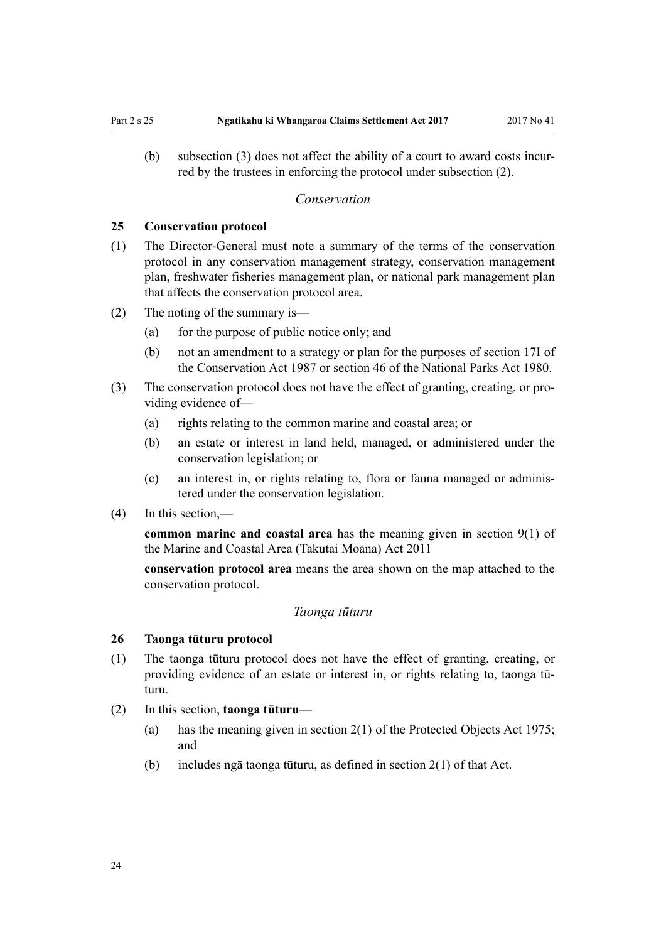(b) subsection (3) does not affect the ability of a court to award costs incurred by the trustees in enforcing the protocol under subsection (2).

#### *Conservation*

#### **25 Conservation protocol**

- (1) The Director-General must note a summary of the terms of the conservation protocol in any conservation management strategy, conservation management plan, freshwater fisheries management plan, or national park management plan that affects the conservation protocol area.
- (2) The noting of the summary is—
	- (a) for the purpose of public notice only; and
	- (b) not an amendment to a strategy or plan for the purposes of section 17I of the Conservation Act 1987 or section 46 of the National Parks Act 1980.
- (3) The conservation protocol does not have the effect of granting, creating, or providing evidence of—
	- (a) rights relating to the common marine and coastal area; or
	- (b) an estate or interest in land held, managed, or administered under the conservation legislation; or
	- (c) an interest in, or rights relating to, flora or fauna managed or administered under the conservation legislation.
- (4) In this section,—

**common marine and coastal area** has the meaning given in section 9(1) of the Marine and Coastal Area (Takutai Moana) Act 2011

**conservation protocol area** means the area shown on the map attached to the conservation protocol.

#### *Taonga tūturu*

#### **26 Taonga tūturu protocol**

- (1) The taonga tūturu protocol does not have the effect of granting, creating, or providing evidence of an estate or interest in, or rights relating to, taonga tūturu.
- (2) In this section, **taonga tūturu**
	- (a) has the meaning given in section 2(1) of the Protected Objects Act 1975; and
	- (b) includes ngā taonga tūturu, as defined in section 2(1) of that Act.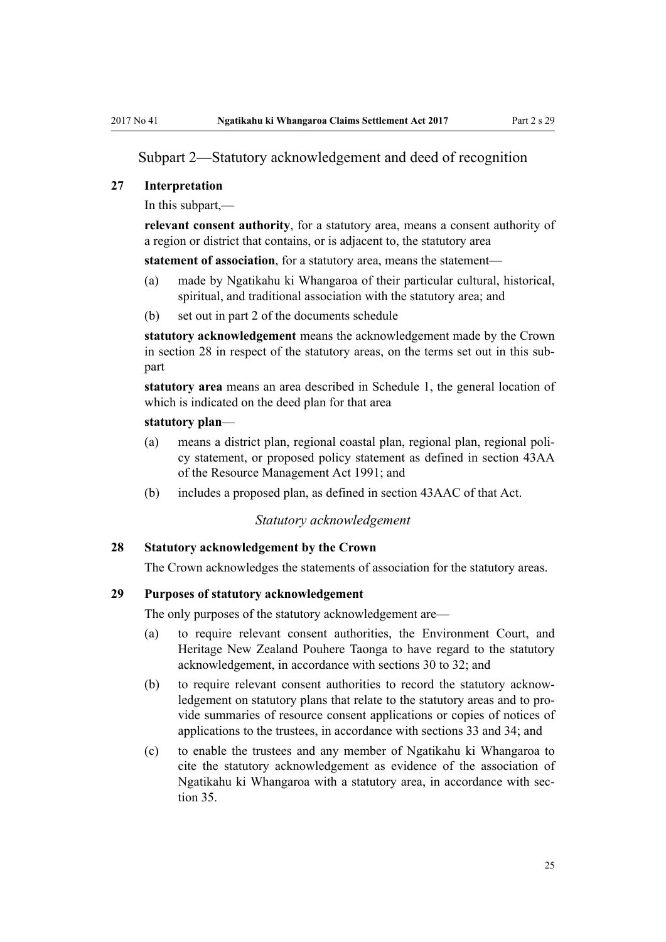#### Subpart 2—Statutory acknowledgement and deed of recognition

#### **27 Interpretation**

In this subpart,—

**relevant consent authority**, for a statutory area, means a consent authority of a region or district that contains, or is adjacent to, the statutory area

**statement of association**, for a statutory area, means the statement—

- (a) made by Ngatikahu ki Whangaroa of their particular cultural, historical, spiritual, and traditional association with the statutory area; and
- (b) set out in part 2 of the documents schedule

**statutory acknowledgement** means the acknowledgement made by the Crown in section 28 in respect of the statutory areas, on the terms set out in this subpart

**statutory area** means an area described in Schedule 1, the general location of which is indicated on the deed plan for that area

#### **statutory plan**—

- (a) means a district plan, regional coastal plan, regional plan, regional policy statement, or proposed policy statement as defined in section 43AA of the Resource Management Act 1991; and
- (b) includes a proposed plan, as defined in section 43AAC of that Act.

#### *Statutory acknowledgement*

#### **28 Statutory acknowledgement by the Crown**

The Crown acknowledges the statements of association for the statutory areas.

#### **29 Purposes of statutory acknowledgement**

The only purposes of the statutory acknowledgement are—

- (a) to require relevant consent authorities, the Environment Court, and Heritage New Zealand Pouhere Taonga to have regard to the statutory acknowledgement, in accordance with sections 30 to 32; and
- (b) to require relevant consent authorities to record the statutory acknowledgement on statutory plans that relate to the statutory areas and to provide summaries of resource consent applications or copies of notices of applications to the trustees, in accordance with sections 33 and 34; and
- (c) to enable the trustees and any member of Ngatikahu ki Whangaroa to cite the statutory acknowledgement as evidence of the association of Ngatikahu ki Whangaroa with a statutory area, in accordance with section 35.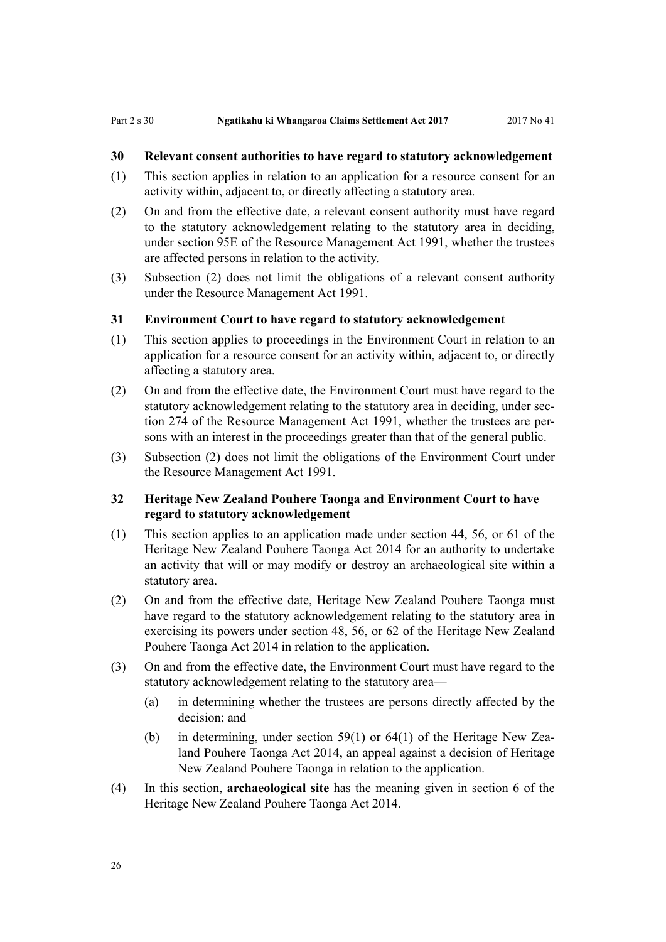#### **30 Relevant consent authorities to have regard to statutory acknowledgement**

- (1) This section applies in relation to an application for a resource consent for an activity within, adjacent to, or directly affecting a statutory area.
- (2) On and from the effective date, a relevant consent authority must have regard to the statutory acknowledgement relating to the statutory area in deciding, under section 95E of the Resource Management Act 1991, whether the trustees are affected persons in relation to the activity.
- (3) Subsection (2) does not limit the obligations of a relevant consent authority under the Resource Management Act 1991.

#### **31 Environment Court to have regard to statutory acknowledgement**

- (1) This section applies to proceedings in the Environment Court in relation to an application for a resource consent for an activity within, adjacent to, or directly affecting a statutory area.
- (2) On and from the effective date, the Environment Court must have regard to the statutory acknowledgement relating to the statutory area in deciding, under section 274 of the Resource Management Act 1991, whether the trustees are persons with an interest in the proceedings greater than that of the general public.
- (3) Subsection (2) does not limit the obligations of the Environment Court under the Resource Management Act 1991.

#### **32 Heritage New Zealand Pouhere Taonga and Environment Court to have regard to statutory acknowledgement**

- (1) This section applies to an application made under section 44, 56, or 61 of the Heritage New Zealand Pouhere Taonga Act 2014 for an authority to undertake an activity that will or may modify or destroy an archaeological site within a statutory area.
- (2) On and from the effective date, Heritage New Zealand Pouhere Taonga must have regard to the statutory acknowledgement relating to the statutory area in exercising its powers under section 48, 56, or 62 of the Heritage New Zealand Pouhere Taonga Act 2014 in relation to the application.
- (3) On and from the effective date, the Environment Court must have regard to the statutory acknowledgement relating to the statutory area—
	- (a) in determining whether the trustees are persons directly affected by the decision; and
	- (b) in determining, under section 59(1) or 64(1) of the Heritage New Zealand Pouhere Taonga Act 2014, an appeal against a decision of Heritage New Zealand Pouhere Taonga in relation to the application.
- (4) In this section, **archaeological site** has the meaning given in section 6 of the Heritage New Zealand Pouhere Taonga Act 2014.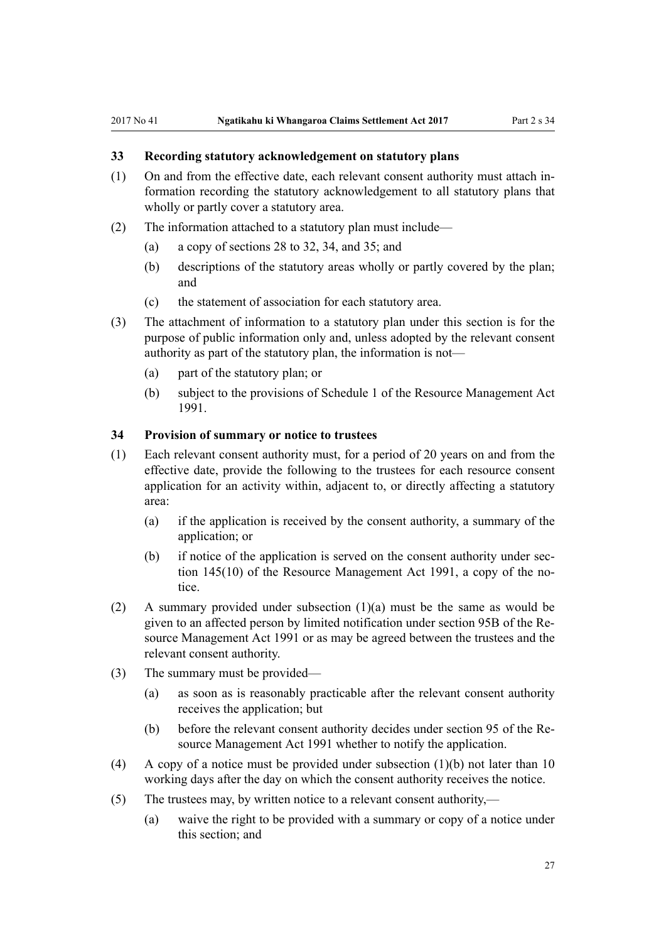#### **33 Recording statutory acknowledgement on statutory plans**

- (1) On and from the effective date, each relevant consent authority must attach information recording the statutory acknowledgement to all statutory plans that wholly or partly cover a statutory area.
- (2) The information attached to a statutory plan must include—
	- (a) a copy of sections 28 to 32, 34, and 35; and
	- (b) descriptions of the statutory areas wholly or partly covered by the plan; and
	- (c) the statement of association for each statutory area.
- (3) The attachment of information to a statutory plan under this section is for the purpose of public information only and, unless adopted by the relevant consent authority as part of the statutory plan, the information is not—
	- (a) part of the statutory plan; or
	- (b) subject to the provisions of Schedule 1 of the Resource Management Act 1991.

#### **34 Provision of summary or notice to trustees**

- (1) Each relevant consent authority must, for a period of 20 years on and from the effective date, provide the following to the trustees for each resource consent application for an activity within, adjacent to, or directly affecting a statutory area:
	- (a) if the application is received by the consent authority, a summary of the application; or
	- (b) if notice of the application is served on the consent authority under section 145(10) of the Resource Management Act 1991, a copy of the notice.
- (2) A summary provided under subsection (1)(a) must be the same as would be given to an affected person by limited notification under section 95B of the Resource Management Act 1991 or as may be agreed between the trustees and the relevant consent authority.
- (3) The summary must be provided—
	- (a) as soon as is reasonably practicable after the relevant consent authority receives the application; but
	- (b) before the relevant consent authority decides under section 95 of the Resource Management Act 1991 whether to notify the application.
- (4) A copy of a notice must be provided under subsection (1)(b) not later than 10 working days after the day on which the consent authority receives the notice.
- (5) The trustees may, by written notice to a relevant consent authority,—
	- (a) waive the right to be provided with a summary or copy of a notice under this section; and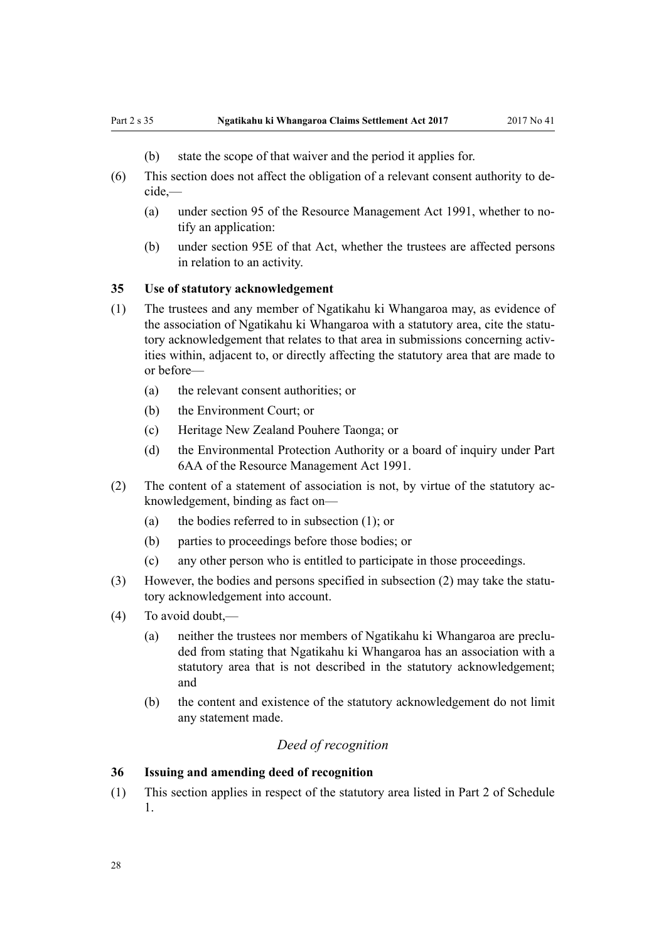- (b) state the scope of that waiver and the period it applies for.
- (6) This section does not affect the obligation of a relevant consent authority to de $cide$  —
	- (a) under section 95 of the Resource Management Act 1991, whether to notify an application:
	- (b) under section 95E of that Act, whether the trustees are affected persons in relation to an activity.

#### **35 Use of statutory acknowledgement**

- (1) The trustees and any member of Ngatikahu ki Whangaroa may, as evidence of the association of Ngatikahu ki Whangaroa with a statutory area, cite the statutory acknowledgement that relates to that area in submissions concerning activities within, adjacent to, or directly affecting the statutory area that are made to or before—
	- (a) the relevant consent authorities; or
	- (b) the Environment Court; or
	- (c) Heritage New Zealand Pouhere Taonga; or
	- (d) the Environmental Protection Authority or a board of inquiry under Part 6AA of the Resource Management Act 1991.
- (2) The content of a statement of association is not, by virtue of the statutory acknowledgement, binding as fact on—
	- (a) the bodies referred to in subsection (1); or
	- (b) parties to proceedings before those bodies; or
	- (c) any other person who is entitled to participate in those proceedings.
- (3) However, the bodies and persons specified in subsection (2) may take the statutory acknowledgement into account.
- (4) To avoid doubt,—
	- (a) neither the trustees nor members of Ngatikahu ki Whangaroa are precluded from stating that Ngatikahu ki Whangaroa has an association with a statutory area that is not described in the statutory acknowledgement; and
	- (b) the content and existence of the statutory acknowledgement do not limit any statement made.

#### *Deed of recognition*

#### **36 Issuing and amending deed of recognition**

(1) This section applies in respect of the statutory area listed in Part 2 of Schedule 1.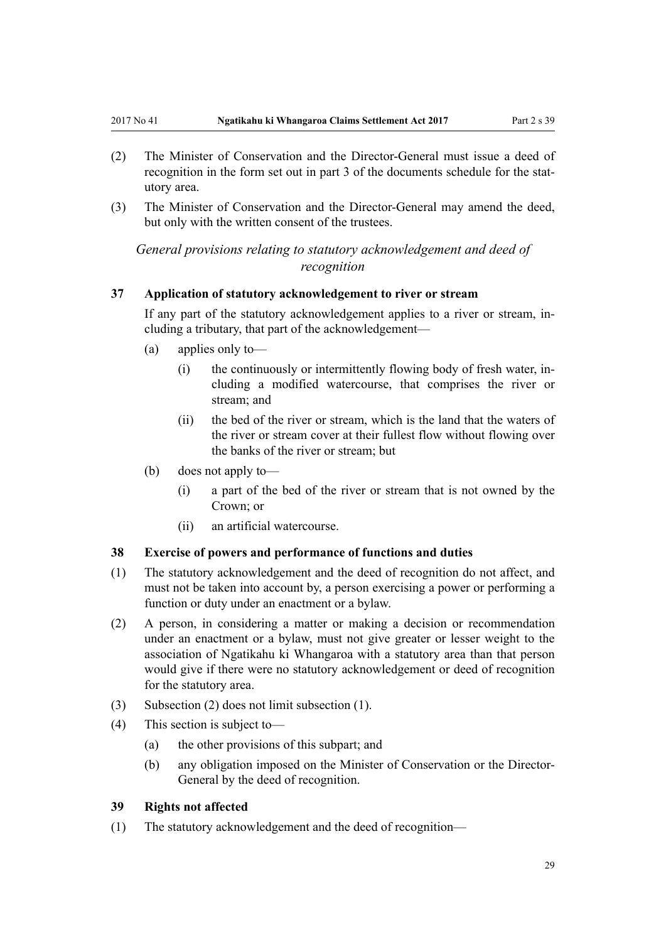- (2) The Minister of Conservation and the Director-General must issue a deed of recognition in the form set out in part 3 of the documents schedule for the statutory area.
- (3) The Minister of Conservation and the Director-General may amend the deed, but only with the written consent of the trustees.

*General provisions relating to statutory acknowledgement and deed of recognition*

#### **37 Application of statutory acknowledgement to river or stream**

If any part of the statutory acknowledgement applies to a river or stream, including a tributary, that part of the acknowledgement—

- (a) applies only to—
	- (i) the continuously or intermittently flowing body of fresh water, including a modified watercourse, that comprises the river or stream; and
	- (ii) the bed of the river or stream, which is the land that the waters of the river or stream cover at their fullest flow without flowing over the banks of the river or stream; but
- (b) does not apply to—
	- (i) a part of the bed of the river or stream that is not owned by the Crown; or
	- (ii) an artificial watercourse.

#### **38 Exercise of powers and performance of functions and duties**

- (1) The statutory acknowledgement and the deed of recognition do not affect, and must not be taken into account by, a person exercising a power or performing a function or duty under an enactment or a bylaw.
- (2) A person, in considering a matter or making a decision or recommendation under an enactment or a bylaw, must not give greater or lesser weight to the association of Ngatikahu ki Whangaroa with a statutory area than that person would give if there were no statutory acknowledgement or deed of recognition for the statutory area.
- (3) Subsection (2) does not limit subsection (1).
- (4) This section is subject to—
	- (a) the other provisions of this subpart; and
	- (b) any obligation imposed on the Minister of Conservation or the Director-General by the deed of recognition.

#### **39 Rights not affected**

(1) The statutory acknowledgement and the deed of recognition—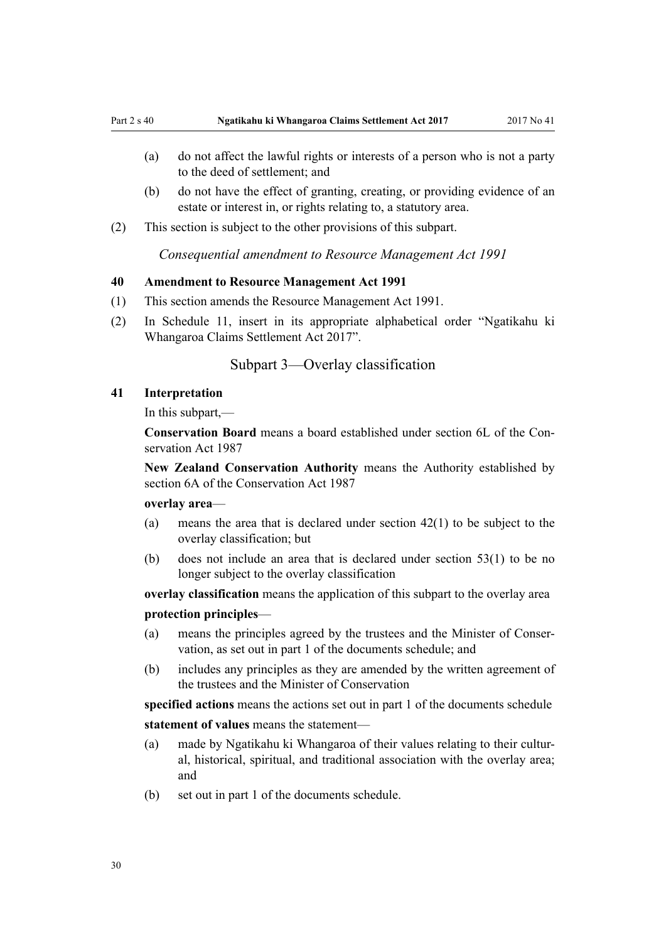- (a) do not affect the lawful rights or interests of a person who is not a party to the deed of settlement; and
- (b) do not have the effect of granting, creating, or providing evidence of an estate or interest in, or rights relating to, a statutory area.
- (2) This section is subject to the other provisions of this subpart.

*Consequential amendment to Resource Management Act 1991*

#### **40 Amendment to Resource Management Act 1991**

- (1) This section amends the Resource Management Act 1991.
- (2) In Schedule 11, insert in its appropriate alphabetical order "Ngatikahu ki Whangaroa Claims Settlement Act 2017".

#### Subpart 3—Overlay classification

#### **41 Interpretation**

In this subpart,—

**Conservation Board** means a board established under section 6L of the Conservation Act 1987

**New Zealand Conservation Authority** means the Authority established by section 6A of the Conservation Act 1987

#### **overlay area**—

- (a) means the area that is declared under section 42(1) to be subject to the overlay classification; but
- (b) does not include an area that is declared under section 53(1) to be no longer subject to the overlay classification

**overlay classification** means the application of this subpart to the overlay area

#### **protection principles**—

- (a) means the principles agreed by the trustees and the Minister of Conservation, as set out in part 1 of the documents schedule; and
- (b) includes any principles as they are amended by the written agreement of the trustees and the Minister of Conservation

**specified actions** means the actions set out in part 1 of the documents schedule

**statement of values** means the statement—

- (a) made by Ngatikahu ki Whangaroa of their values relating to their cultural, historical, spiritual, and traditional association with the overlay area; and
- (b) set out in part 1 of the documents schedule.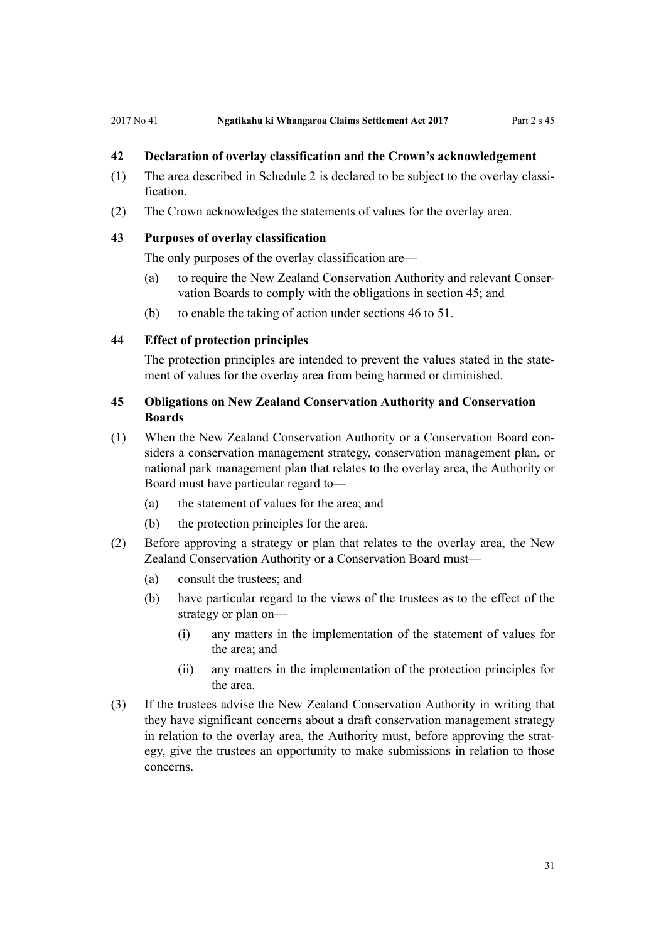#### **42 Declaration of overlay classification and the Crown's acknowledgement**

- (1) The area described in Schedule 2 is declared to be subject to the overlay classification.
- (2) The Crown acknowledges the statements of values for the overlay area.

#### **43 Purposes of overlay classification**

The only purposes of the overlay classification are—

- (a) to require the New Zealand Conservation Authority and relevant Conservation Boards to comply with the obligations in section 45; and
- (b) to enable the taking of action under sections 46 to 51.

#### **44 Effect of protection principles**

The protection principles are intended to prevent the values stated in the statement of values for the overlay area from being harmed or diminished.

#### **45 Obligations on New Zealand Conservation Authority and Conservation Boards**

- (1) When the New Zealand Conservation Authority or a Conservation Board considers a conservation management strategy, conservation management plan, or national park management plan that relates to the overlay area, the Authority or Board must have particular regard to—
	- (a) the statement of values for the area; and
	- (b) the protection principles for the area.
- (2) Before approving a strategy or plan that relates to the overlay area, the New Zealand Conservation Authority or a Conservation Board must—
	- (a) consult the trustees; and
	- (b) have particular regard to the views of the trustees as to the effect of the strategy or plan on—
		- (i) any matters in the implementation of the statement of values for the area; and
		- (ii) any matters in the implementation of the protection principles for the area.
- (3) If the trustees advise the New Zealand Conservation Authority in writing that they have significant concerns about a draft conservation management strategy in relation to the overlay area, the Authority must, before approving the strategy, give the trustees an opportunity to make submissions in relation to those concerns.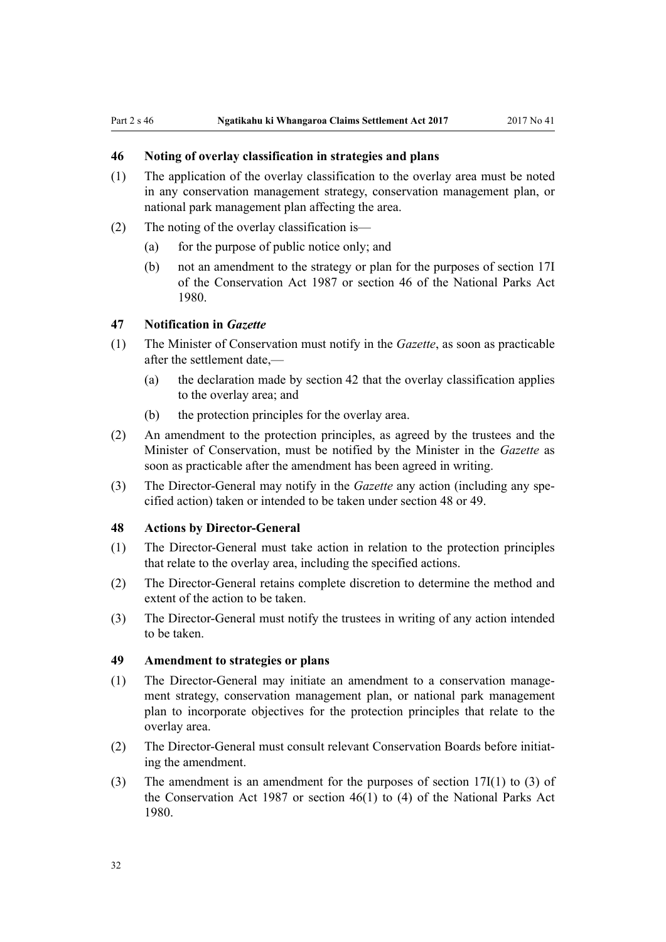#### **46 Noting of overlay classification in strategies and plans**

- (1) The application of the overlay classification to the overlay area must be noted in any conservation management strategy, conservation management plan, or national park management plan affecting the area.
- (2) The noting of the overlay classification is—
	- (a) for the purpose of public notice only; and
	- (b) not an amendment to the strategy or plan for the purposes of section 17I of the Conservation Act 1987 or section 46 of the National Parks Act 1980.

#### **47 Notification in** *Gazette*

- (1) The Minister of Conservation must notify in the *Gazette*, as soon as practicable after the settlement date,—
	- (a) the declaration made by section 42 that the overlay classification applies to the overlay area; and
	- (b) the protection principles for the overlay area.
- (2) An amendment to the protection principles, as agreed by the trustees and the Minister of Conservation, must be notified by the Minister in the *Gazette* as soon as practicable after the amendment has been agreed in writing.
- (3) The Director-General may notify in the *Gazette* any action (including any specified action) taken or intended to be taken under section 48 or 49.

#### **48 Actions by Director-General**

- (1) The Director-General must take action in relation to the protection principles that relate to the overlay area, including the specified actions.
- (2) The Director-General retains complete discretion to determine the method and extent of the action to be taken.
- (3) The Director-General must notify the trustees in writing of any action intended to be taken.

#### **49 Amendment to strategies or plans**

- (1) The Director-General may initiate an amendment to a conservation management strategy, conservation management plan, or national park management plan to incorporate objectives for the protection principles that relate to the overlay area.
- (2) The Director-General must consult relevant Conservation Boards before initiating the amendment.
- (3) The amendment is an amendment for the purposes of section 17I(1) to (3) of the Conservation Act 1987 or section 46(1) to (4) of the National Parks Act 1980.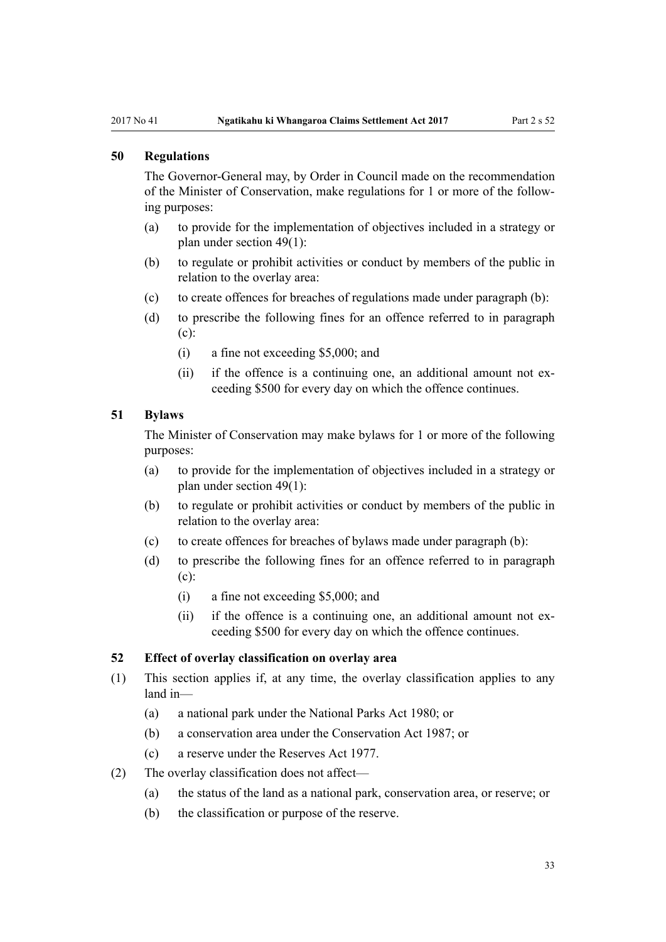#### **50 Regulations**

The Governor-General may, by Order in Council made on the recommendation of the Minister of Conservation, make regulations for 1 or more of the following purposes:

- (a) to provide for the implementation of objectives included in a strategy or plan under section 49(1):
- (b) to regulate or prohibit activities or conduct by members of the public in relation to the overlay area:
- (c) to create offences for breaches of regulations made under paragraph (b):
- (d) to prescribe the following fines for an offence referred to in paragraph (c):
	- (i) a fine not exceeding \$5,000; and
	- (ii) if the offence is a continuing one, an additional amount not exceeding \$500 for every day on which the offence continues.

#### **51 Bylaws**

The Minister of Conservation may make bylaws for 1 or more of the following purposes:

- (a) to provide for the implementation of objectives included in a strategy or plan under section 49(1):
- (b) to regulate or prohibit activities or conduct by members of the public in relation to the overlay area:
- (c) to create offences for breaches of bylaws made under paragraph (b):
- (d) to prescribe the following fines for an offence referred to in paragraph (c):
	- (i) a fine not exceeding \$5,000; and
	- (ii) if the offence is a continuing one, an additional amount not exceeding \$500 for every day on which the offence continues.

#### **52 Effect of overlay classification on overlay area**

- (1) This section applies if, at any time, the overlay classification applies to any land in—
	- (a) a national park under the National Parks Act 1980; or
	- (b) a conservation area under the Conservation Act 1987; or
	- (c) a reserve under the Reserves Act 1977.
- (2) The overlay classification does not affect—
	- (a) the status of the land as a national park, conservation area, or reserve; or
	- (b) the classification or purpose of the reserve.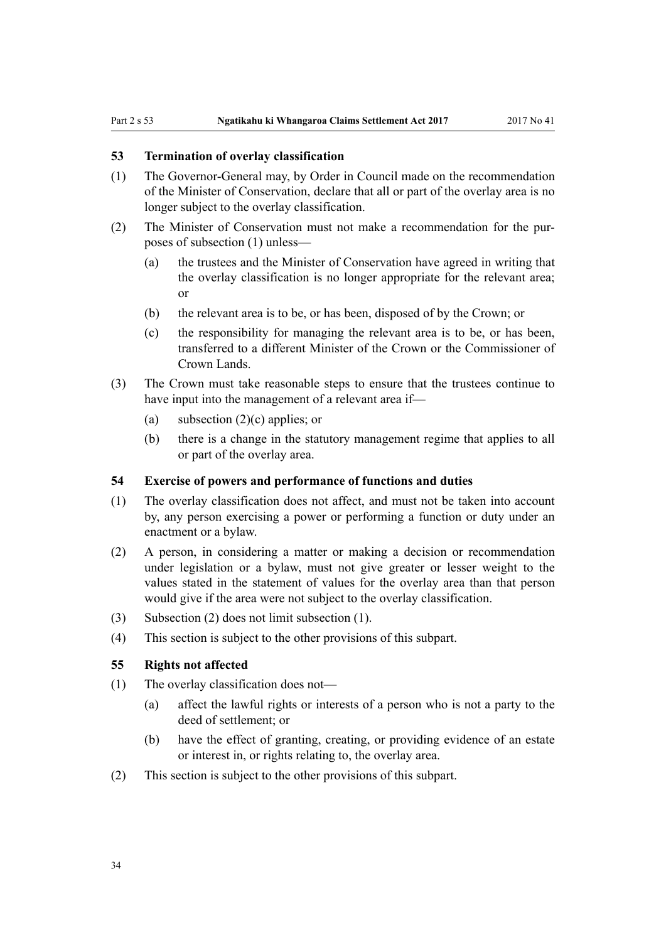#### **53 Termination of overlay classification**

- (1) The Governor-General may, by Order in Council made on the recommendation of the Minister of Conservation, declare that all or part of the overlay area is no longer subject to the overlay classification.
- (2) The Minister of Conservation must not make a recommendation for the purposes of subsection (1) unless—
	- (a) the trustees and the Minister of Conservation have agreed in writing that the overlay classification is no longer appropriate for the relevant area; or
	- (b) the relevant area is to be, or has been, disposed of by the Crown; or
	- (c) the responsibility for managing the relevant area is to be, or has been, transferred to a different Minister of the Crown or the Commissioner of Crown Lands.
- (3) The Crown must take reasonable steps to ensure that the trustees continue to have input into the management of a relevant area if—
	- (a) subsection  $(2)(c)$  applies; or
	- (b) there is a change in the statutory management regime that applies to all or part of the overlay area.

#### **54 Exercise of powers and performance of functions and duties**

- (1) The overlay classification does not affect, and must not be taken into account by, any person exercising a power or performing a function or duty under an enactment or a bylaw.
- (2) A person, in considering a matter or making a decision or recommendation under legislation or a bylaw, must not give greater or lesser weight to the values stated in the statement of values for the overlay area than that person would give if the area were not subject to the overlay classification.
- (3) Subsection (2) does not limit subsection (1).
- (4) This section is subject to the other provisions of this subpart.

#### **55 Rights not affected**

- (1) The overlay classification does not—
	- (a) affect the lawful rights or interests of a person who is not a party to the deed of settlement; or
	- (b) have the effect of granting, creating, or providing evidence of an estate or interest in, or rights relating to, the overlay area.
- (2) This section is subject to the other provisions of this subpart.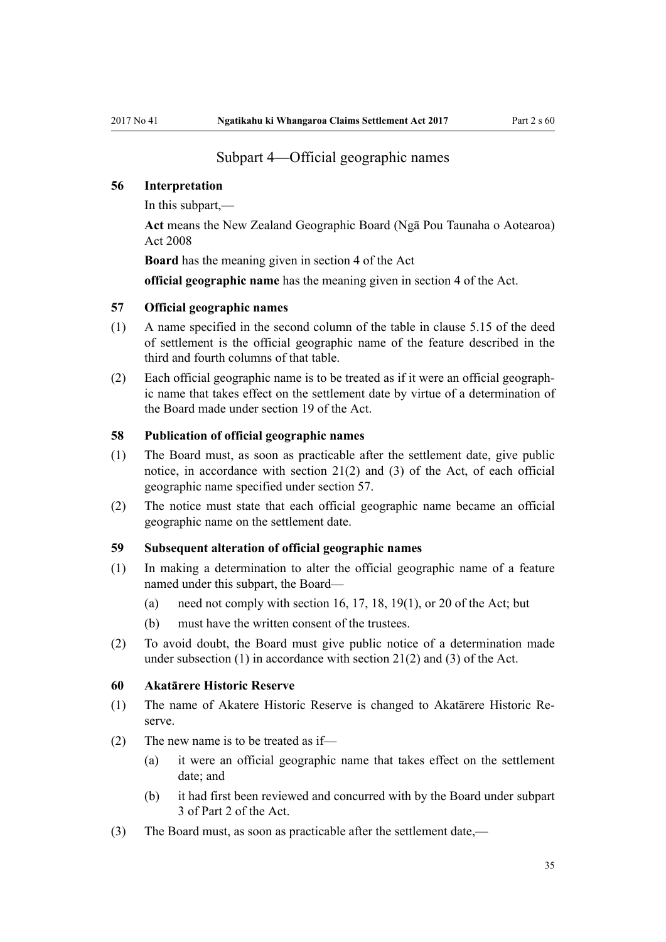#### Subpart 4—Official geographic names

#### **56 Interpretation**

In this subpart,—

**Act** means the New Zealand Geographic Board (Ngā Pou Taunaha o Aotearoa) Act 2008

**Board** has the meaning given in section 4 of the Act

**official geographic name** has the meaning given in section 4 of the Act.

#### **57 Official geographic names**

- (1) A name specified in the second column of the table in clause 5.15 of the deed of settlement is the official geographic name of the feature described in the third and fourth columns of that table.
- (2) Each official geographic name is to be treated as if it were an official geographic name that takes effect on the settlement date by virtue of a determination of the Board made under section 19 of the Act.

#### **58 Publication of official geographic names**

- (1) The Board must, as soon as practicable after the settlement date, give public notice, in accordance with section 21(2) and (3) of the Act, of each official geographic name specified under section 57.
- (2) The notice must state that each official geographic name became an official geographic name on the settlement date.

#### **59 Subsequent alteration of official geographic names**

- (1) In making a determination to alter the official geographic name of a feature named under this subpart, the Board—
	- (a) need not comply with section 16, 17, 18, 19(1), or 20 of the Act; but
	- (b) must have the written consent of the trustees.
- (2) To avoid doubt, the Board must give public notice of a determination made under subsection (1) in accordance with section 21(2) and (3) of the Act.

#### **60 Akatārere Historic Reserve**

- (1) The name of Akatere Historic Reserve is changed to Akatārere Historic Reserve.
- (2) The new name is to be treated as if—
	- (a) it were an official geographic name that takes effect on the settlement date; and
	- (b) it had first been reviewed and concurred with by the Board under subpart 3 of Part 2 of the Act.
- (3) The Board must, as soon as practicable after the settlement date,—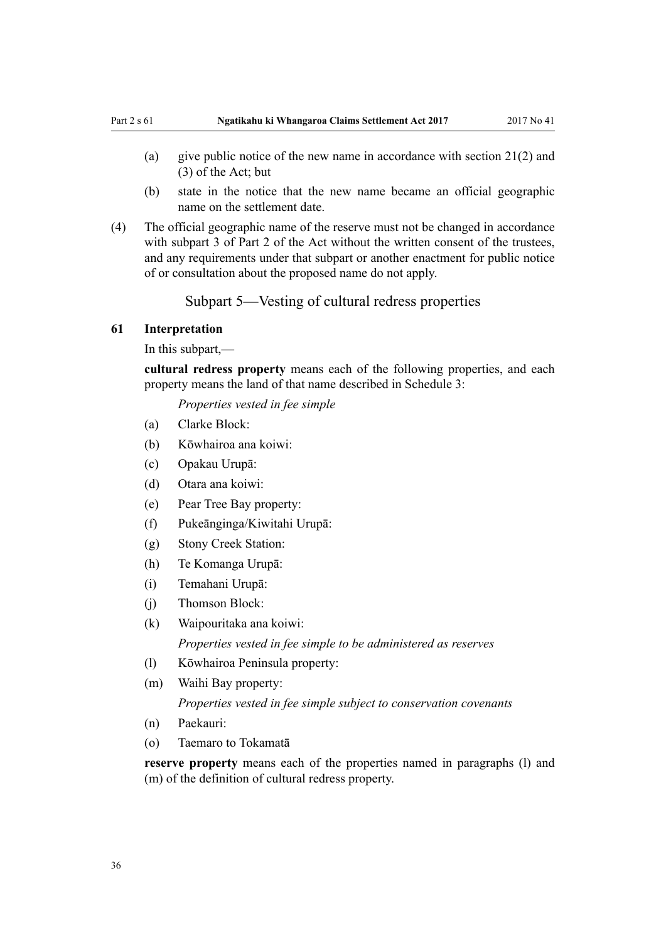- (a) give public notice of the new name in accordance with section  $21(2)$  and (3) of the Act; but
- (b) state in the notice that the new name became an official geographic name on the settlement date.
- (4) The official geographic name of the reserve must not be changed in accordance with subpart 3 of Part 2 of the Act without the written consent of the trustees, and any requirements under that subpart or another enactment for public notice of or consultation about the proposed name do not apply.

Subpart 5—Vesting of cultural redress properties

#### **61 Interpretation**

In this subpart,—

**cultural redress property** means each of the following properties, and each property means the land of that name described in Schedule 3:

*Properties vested in fee simple*

- (a) Clarke Block:
- (b) Kōwhairoa ana koiwi:
- (c) Opakau Urupā:
- (d) Otara ana koiwi:
- (e) Pear Tree Bay property:
- (f) Pukeānginga/Kiwitahi Urupā:
- (g) Stony Creek Station:
- (h) Te Komanga Urupā:
- (i) Temahani Urupā:
- (j) Thomson Block:
- (k) Waipouritaka ana koiwi:

*Properties vested in fee simple to be administered as reserves*

- (l) Kōwhairoa Peninsula property:
- (m) Waihi Bay property:

*Properties vested in fee simple subject to conservation covenants*

- (n) Paekauri:
- (o) Taemaro to Tokamatā

**reserve property** means each of the properties named in paragraphs (l) and (m) of the definition of cultural redress property.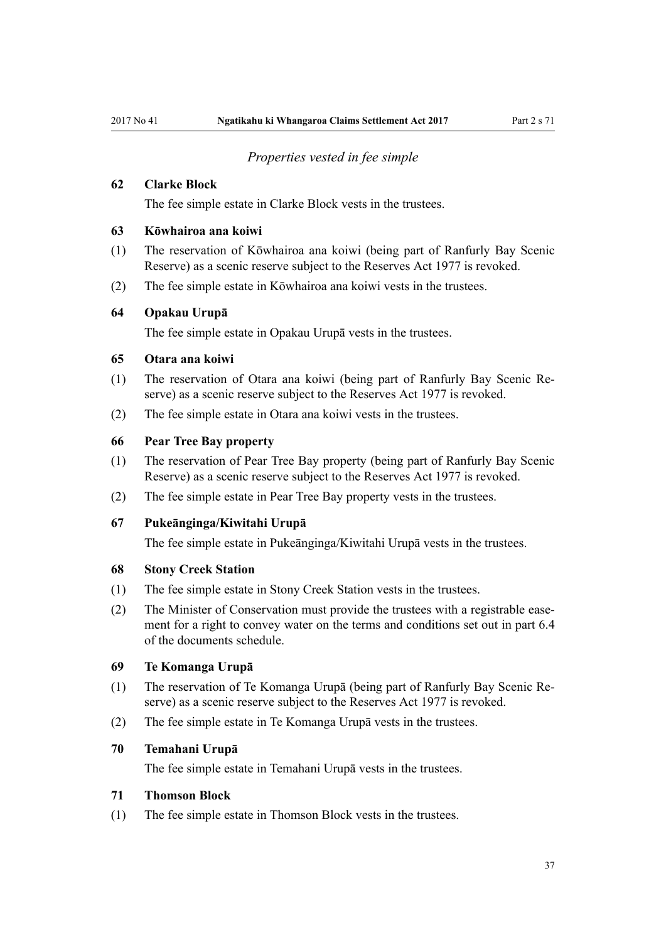#### *Properties vested in fee simple*

#### **62 Clarke Block**

The fee simple estate in Clarke Block vests in the trustees.

#### **63 Kōwhairoa ana koiwi**

- (1) The reservation of Kōwhairoa ana koiwi (being part of Ranfurly Bay Scenic Reserve) as a scenic reserve subject to the Reserves Act 1977 is revoked.
- (2) The fee simple estate in Kōwhairoa ana koiwi vests in the trustees.

#### **64 Opakau Urupā**

The fee simple estate in Opakau Urupā vests in the trustees.

#### **65 Otara ana koiwi**

- (1) The reservation of Otara ana koiwi (being part of Ranfurly Bay Scenic Reserve) as a scenic reserve subject to the Reserves Act 1977 is revoked.
- (2) The fee simple estate in Otara ana koiwi vests in the trustees.

#### **66 Pear Tree Bay property**

- (1) The reservation of Pear Tree Bay property (being part of Ranfurly Bay Scenic Reserve) as a scenic reserve subject to the Reserves Act 1977 is revoked.
- (2) The fee simple estate in Pear Tree Bay property vests in the trustees.

#### **67 Pukeānginga/Kiwitahi Urupā**

The fee simple estate in Pukeānginga/Kiwitahi Urupā vests in the trustees.

#### **68 Stony Creek Station**

- (1) The fee simple estate in Stony Creek Station vests in the trustees.
- (2) The Minister of Conservation must provide the trustees with a registrable easement for a right to convey water on the terms and conditions set out in part 6.4 of the documents schedule.

#### **69 Te Komanga Urupā**

- (1) The reservation of Te Komanga Urupā (being part of Ranfurly Bay Scenic Reserve) as a scenic reserve subject to the Reserves Act 1977 is revoked.
- (2) The fee simple estate in Te Komanga Urupā vests in the trustees.

#### **70 Temahani Urupā**

The fee simple estate in Temahani Urupā vests in the trustees.

#### **71 Thomson Block**

(1) The fee simple estate in Thomson Block vests in the trustees.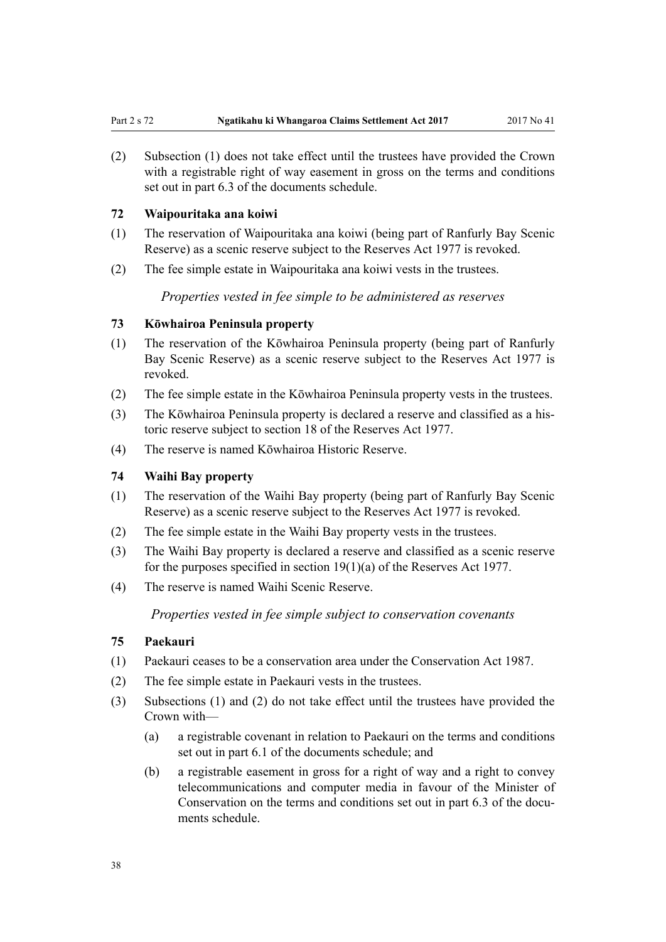(2) Subsection (1) does not take effect until the trustees have provided the Crown with a registrable right of way easement in gross on the terms and conditions set out in part 6.3 of the documents schedule.

#### **72 Waipouritaka ana koiwi**

- (1) The reservation of Waipouritaka ana koiwi (being part of Ranfurly Bay Scenic Reserve) as a scenic reserve subject to the Reserves Act 1977 is revoked.
- (2) The fee simple estate in Waipouritaka ana koiwi vests in the trustees.

*Properties vested in fee simple to be administered as reserves*

#### **73 Kōwhairoa Peninsula property**

- (1) The reservation of the Kōwhairoa Peninsula property (being part of Ranfurly Bay Scenic Reserve) as a scenic reserve subject to the Reserves Act 1977 is revoked.
- (2) The fee simple estate in the Kōwhairoa Peninsula property vests in the trustees.
- (3) The Kōwhairoa Peninsula property is declared a reserve and classified as a historic reserve subject to section 18 of the Reserves Act 1977.
- (4) The reserve is named Kōwhairoa Historic Reserve.

#### **74 Waihi Bay property**

- (1) The reservation of the Waihi Bay property (being part of Ranfurly Bay Scenic Reserve) as a scenic reserve subject to the Reserves Act 1977 is revoked.
- (2) The fee simple estate in the Waihi Bay property vests in the trustees.
- (3) The Waihi Bay property is declared a reserve and classified as a scenic reserve for the purposes specified in section 19(1)(a) of the Reserves Act 1977.
- (4) The reserve is named Waihi Scenic Reserve.

*Properties vested in fee simple subject to conservation covenants*

#### **75 Paekauri**

- (1) Paekauri ceases to be a conservation area under the Conservation Act 1987.
- (2) The fee simple estate in Paekauri vests in the trustees.
- (3) Subsections (1) and (2) do not take effect until the trustees have provided the Crown with—
	- (a) a registrable covenant in relation to Paekauri on the terms and conditions set out in part 6.1 of the documents schedule; and
	- (b) a registrable easement in gross for a right of way and a right to convey telecommunications and computer media in favour of the Minister of Conservation on the terms and conditions set out in part 6.3 of the documents schedule.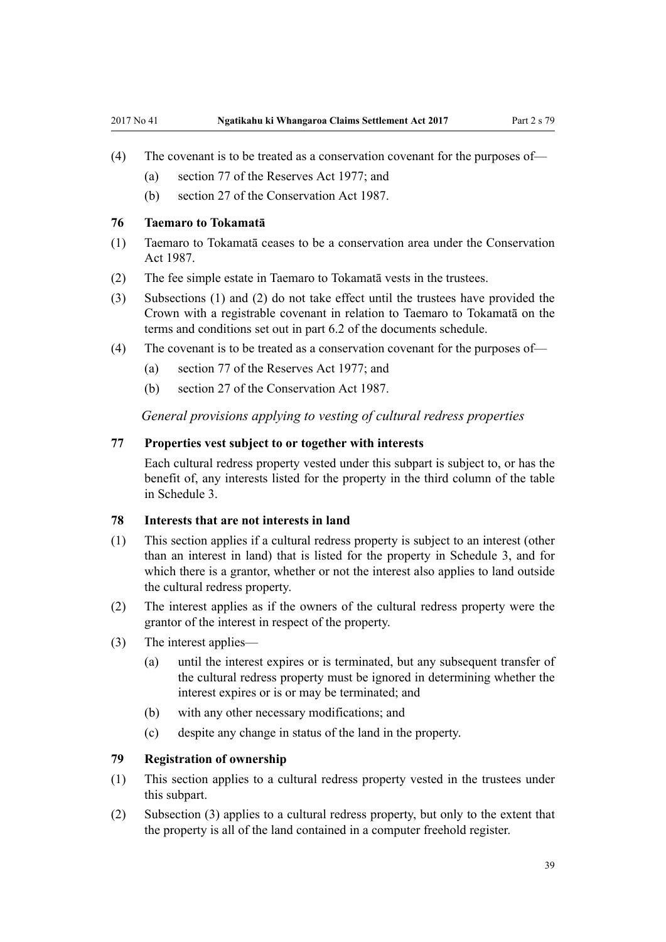- (4) The covenant is to be treated as a conservation covenant for the purposes of—
	- (a) section 77 of the Reserves Act 1977; and
	- (b) section 27 of the Conservation Act 1987.

#### **76 Taemaro to Tokamatā**

- (1) Taemaro to Tokamatā ceases to be a conservation area under the Conservation Act 1987.
- (2) The fee simple estate in Taemaro to Tokamatā vests in the trustees.
- (3) Subsections (1) and (2) do not take effect until the trustees have provided the Crown with a registrable covenant in relation to Taemaro to Tokamatā on the terms and conditions set out in part 6.2 of the documents schedule.
- (4) The covenant is to be treated as a conservation covenant for the purposes of—
	- (a) section 77 of the Reserves Act 1977; and
	- (b) section 27 of the Conservation Act 1987.

*General provisions applying to vesting of cultural redress properties*

#### **77 Properties vest subject to or together with interests**

Each cultural redress property vested under this subpart is subject to, or has the benefit of, any interests listed for the property in the third column of the table in Schedule 3.

#### **78 Interests that are not interests in land**

- (1) This section applies if a cultural redress property is subject to an interest (other than an interest in land) that is listed for the property in Schedule 3, and for which there is a grantor, whether or not the interest also applies to land outside the cultural redress property.
- (2) The interest applies as if the owners of the cultural redress property were the grantor of the interest in respect of the property.
- (3) The interest applies—
	- (a) until the interest expires or is terminated, but any subsequent transfer of the cultural redress property must be ignored in determining whether the interest expires or is or may be terminated; and
	- (b) with any other necessary modifications; and
	- (c) despite any change in status of the land in the property.

#### **79 Registration of ownership**

- (1) This section applies to a cultural redress property vested in the trustees under this subpart.
- (2) Subsection (3) applies to a cultural redress property, but only to the extent that the property is all of the land contained in a computer freehold register.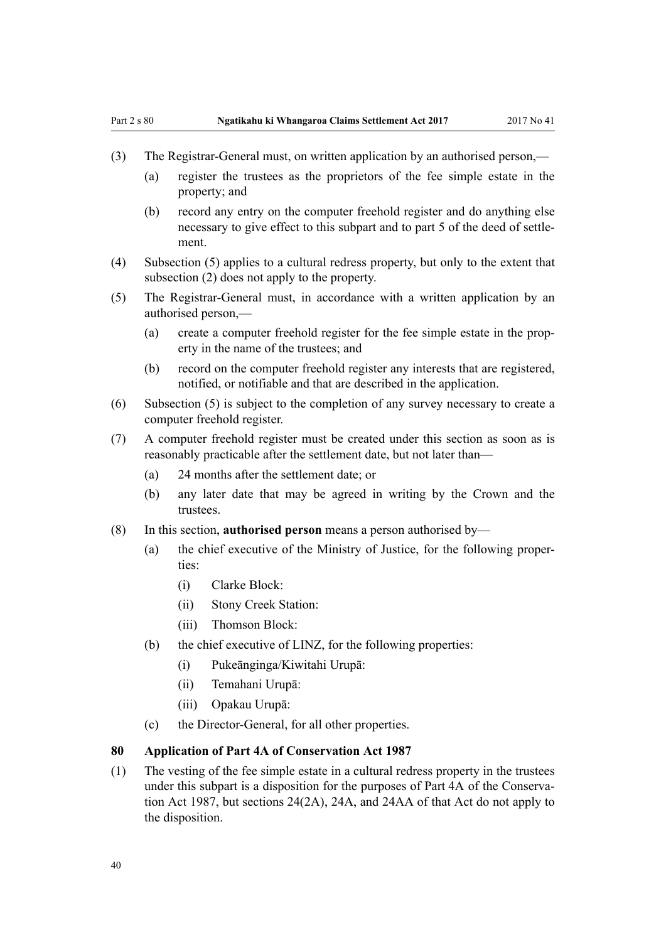- (3) The Registrar-General must, on written application by an authorised person,—
	- (a) register the trustees as the proprietors of the fee simple estate in the property; and
	- (b) record any entry on the computer freehold register and do anything else necessary to give effect to this subpart and to part 5 of the deed of settlement.
- (4) Subsection (5) applies to a cultural redress property, but only to the extent that subsection (2) does not apply to the property.
- (5) The Registrar-General must, in accordance with a written application by an authorised person,—
	- (a) create a computer freehold register for the fee simple estate in the property in the name of the trustees; and
	- (b) record on the computer freehold register any interests that are registered, notified, or notifiable and that are described in the application.
- (6) Subsection (5) is subject to the completion of any survey necessary to create a computer freehold register.
- (7) A computer freehold register must be created under this section as soon as is reasonably practicable after the settlement date, but not later than—
	- (a) 24 months after the settlement date; or
	- (b) any later date that may be agreed in writing by the Crown and the trustees.
- (8) In this section, **authorised person** means a person authorised by—
	- (a) the chief executive of the Ministry of Justice, for the following properties:
		- (i) Clarke Block:
		- (ii) Stony Creek Station:
		- (iii) Thomson Block:
	- (b) the chief executive of LINZ, for the following properties:
		- (i) Pukeānginga/Kiwitahi Urupā:
		- (ii) Temahani Urupā:
		- (iii) Opakau Urupā:
	- (c) the Director-General, for all other properties.

#### **80 Application of Part 4A of Conservation Act 1987**

(1) The vesting of the fee simple estate in a cultural redress property in the trustees under this subpart is a disposition for the purposes of Part 4A of the Conservation Act 1987, but sections 24(2A), 24A, and 24AA of that Act do not apply to the disposition.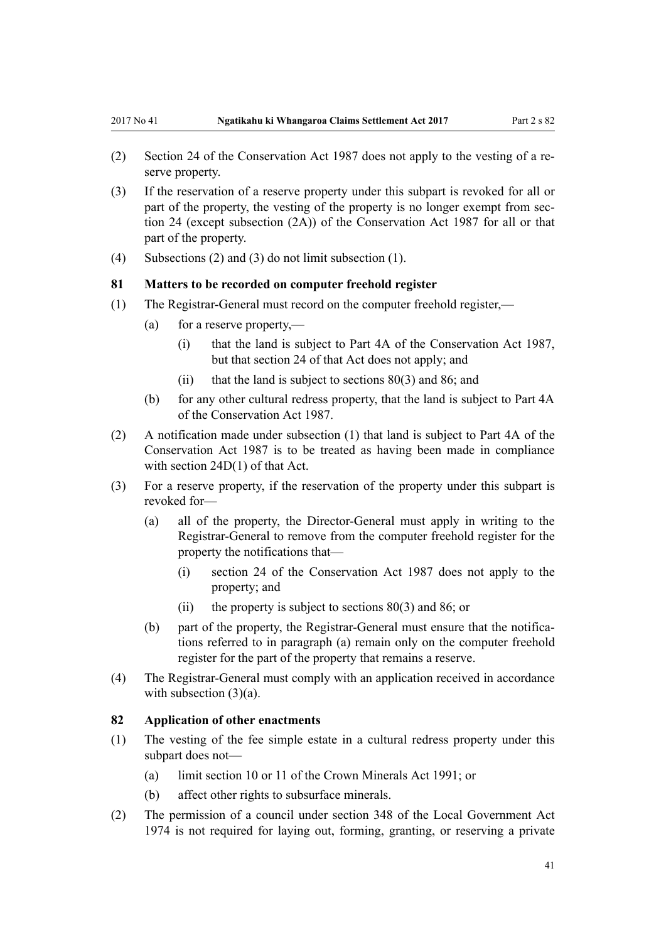- (2) Section 24 of the Conservation Act 1987 does not apply to the vesting of a reserve property.
- (3) If the reservation of a reserve property under this subpart is revoked for all or part of the property, the vesting of the property is no longer exempt from section 24 (except subsection (2A)) of the Conservation Act 1987 for all or that part of the property.
- (4) Subsections (2) and (3) do not limit subsection (1).

#### **81 Matters to be recorded on computer freehold register**

- (1) The Registrar-General must record on the computer freehold register,—
	- (a) for a reserve property,—
		- (i) that the land is subject to Part 4A of the Conservation Act 1987, but that section 24 of that Act does not apply; and
		- (ii) that the land is subject to sections 80(3) and 86; and
	- (b) for any other cultural redress property, that the land is subject to Part 4A of the Conservation Act 1987.
- (2) A notification made under subsection (1) that land is subject to Part 4A of the Conservation Act 1987 is to be treated as having been made in compliance with section 24D(1) of that Act.
- (3) For a reserve property, if the reservation of the property under this subpart is revoked for—
	- (a) all of the property, the Director-General must apply in writing to the Registrar-General to remove from the computer freehold register for the property the notifications that—
		- (i) section 24 of the Conservation Act 1987 does not apply to the property; and
		- (ii) the property is subject to sections  $80(3)$  and  $86$ ; or
	- (b) part of the property, the Registrar-General must ensure that the notifications referred to in paragraph (a) remain only on the computer freehold register for the part of the property that remains a reserve.
- (4) The Registrar-General must comply with an application received in accordance with subsection  $(3)(a)$ .

#### **82 Application of other enactments**

- (1) The vesting of the fee simple estate in a cultural redress property under this subpart does not—
	- (a) limit section 10 or 11 of the Crown Minerals Act 1991; or
	- (b) affect other rights to subsurface minerals.
- (2) The permission of a council under section 348 of the Local Government Act 1974 is not required for laying out, forming, granting, or reserving a private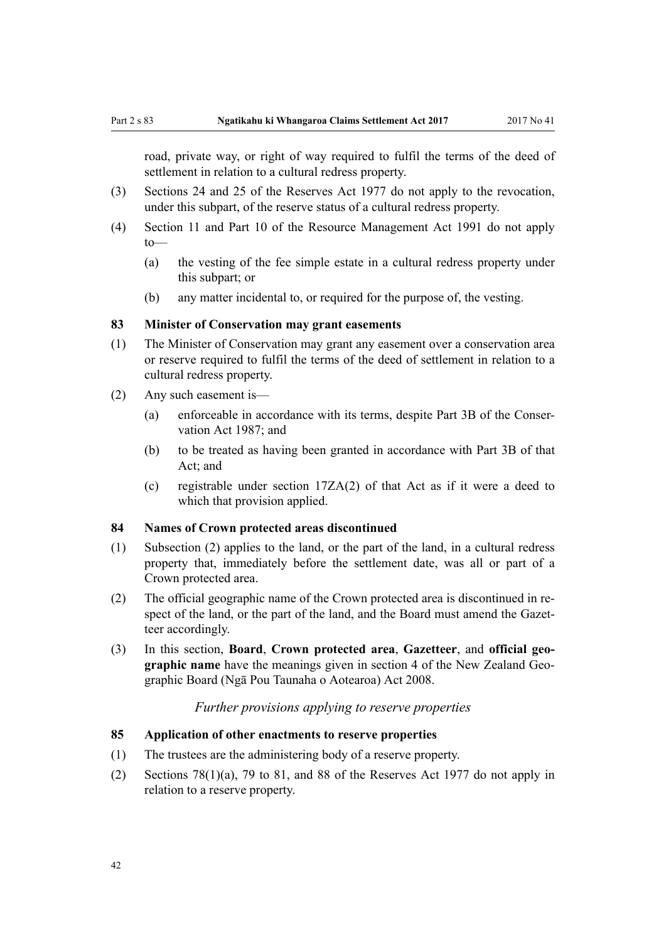road, private way, or right of way required to fulfil the terms of the deed of settlement in relation to a cultural redress property.

- (3) Sections 24 and 25 of the Reserves Act 1977 do not apply to the revocation, under this subpart, of the reserve status of a cultural redress property.
- (4) Section 11 and Part 10 of the Resource Management Act 1991 do not apply to—
	- (a) the vesting of the fee simple estate in a cultural redress property under this subpart; or
	- (b) any matter incidental to, or required for the purpose of, the vesting.

#### **83 Minister of Conservation may grant easements**

- (1) The Minister of Conservation may grant any easement over a conservation area or reserve required to fulfil the terms of the deed of settlement in relation to a cultural redress property.
- (2) Any such easement is—
	- (a) enforceable in accordance with its terms, despite Part 3B of the Conservation Act 1987; and
	- (b) to be treated as having been granted in accordance with Part 3B of that Act; and
	- (c) registrable under section 17ZA(2) of that Act as if it were a deed to which that provision applied.

#### **84 Names of Crown protected areas discontinued**

- (1) Subsection (2) applies to the land, or the part of the land, in a cultural redress property that, immediately before the settlement date, was all or part of a Crown protected area.
- (2) The official geographic name of the Crown protected area is discontinued in respect of the land, or the part of the land, and the Board must amend the Gazetteer accordingly.
- (3) In this section, **Board**, **Crown protected area**, **Gazetteer**, and **official geographic name** have the meanings given in section 4 of the New Zealand Geographic Board (Ngā Pou Taunaha o Aotearoa) Act 2008.

#### *Further provisions applying to reserve properties*

#### **85 Application of other enactments to reserve properties**

- (1) The trustees are the administering body of a reserve property.
- (2) Sections 78(1)(a), 79 to 81, and 88 of the Reserves Act 1977 do not apply in relation to a reserve property.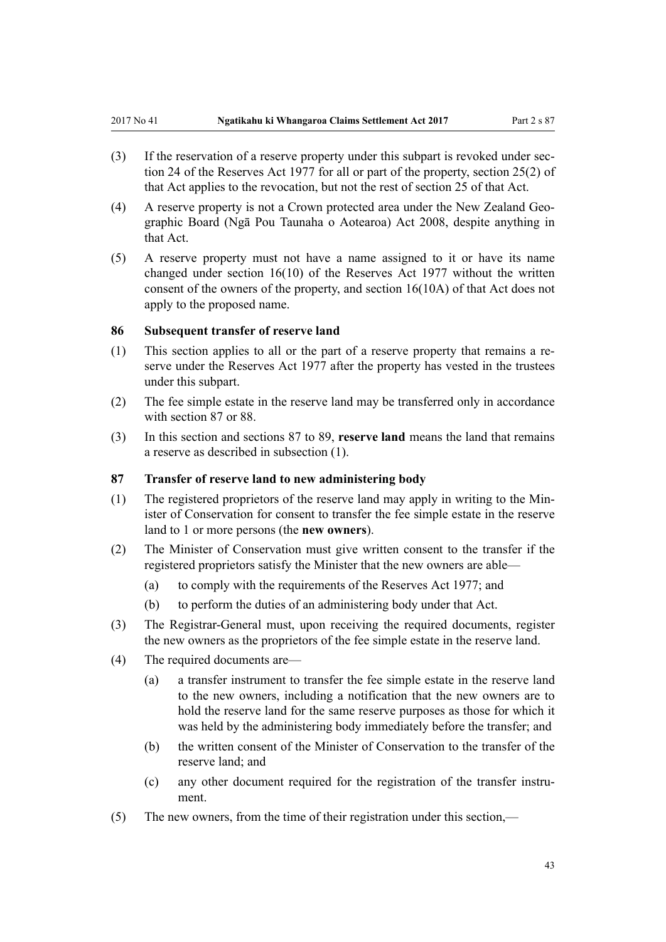- (3) If the reservation of a reserve property under this subpart is revoked under section 24 of the Reserves Act 1977 for all or part of the property, section 25(2) of that Act applies to the revocation, but not the rest of section 25 of that Act.
- (4) A reserve property is not a Crown protected area under the New Zealand Geographic Board (Ngā Pou Taunaha o Aotearoa) Act 2008, despite anything in that Act.
- (5) A reserve property must not have a name assigned to it or have its name changed under section 16(10) of the Reserves Act 1977 without the written consent of the owners of the property, and section 16(10A) of that Act does not apply to the proposed name.

#### **86 Subsequent transfer of reserve land**

- (1) This section applies to all or the part of a reserve property that remains a reserve under the Reserves Act 1977 after the property has vested in the trustees under this subpart.
- (2) The fee simple estate in the reserve land may be transferred only in accordance with section 87 or 88.
- (3) In this section and sections 87 to 89, **reserve land** means the land that remains a reserve as described in subsection (1).

#### **87 Transfer of reserve land to new administering body**

- (1) The registered proprietors of the reserve land may apply in writing to the Minister of Conservation for consent to transfer the fee simple estate in the reserve land to 1 or more persons (the **new owners**).
- (2) The Minister of Conservation must give written consent to the transfer if the registered proprietors satisfy the Minister that the new owners are able—
	- (a) to comply with the requirements of the Reserves Act 1977; and
	- (b) to perform the duties of an administering body under that Act.
- (3) The Registrar-General must, upon receiving the required documents, register the new owners as the proprietors of the fee simple estate in the reserve land.
- (4) The required documents are—
	- (a) a transfer instrument to transfer the fee simple estate in the reserve land to the new owners, including a notification that the new owners are to hold the reserve land for the same reserve purposes as those for which it was held by the administering body immediately before the transfer; and
	- (b) the written consent of the Minister of Conservation to the transfer of the reserve land; and
	- (c) any other document required for the registration of the transfer instrument.
- (5) The new owners, from the time of their registration under this section,—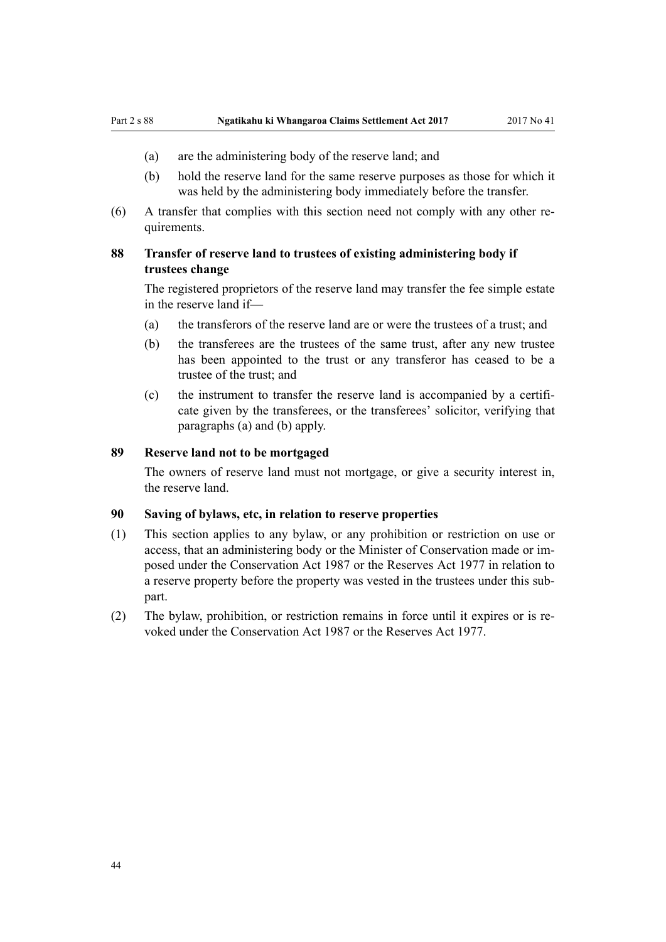- (a) are the administering body of the reserve land; and
- (b) hold the reserve land for the same reserve purposes as those for which it was held by the administering body immediately before the transfer.
- (6) A transfer that complies with this section need not comply with any other requirements.

#### **88 Transfer of reserve land to trustees of existing administering body if trustees change**

The registered proprietors of the reserve land may transfer the fee simple estate in the reserve land if—

- (a) the transferors of the reserve land are or were the trustees of a trust; and
- (b) the transferees are the trustees of the same trust, after any new trustee has been appointed to the trust or any transferor has ceased to be a trustee of the trust; and
- (c) the instrument to transfer the reserve land is accompanied by a certificate given by the transferees, or the transferees' solicitor, verifying that paragraphs (a) and (b) apply.

#### **89 Reserve land not to be mortgaged**

The owners of reserve land must not mortgage, or give a security interest in, the reserve land.

#### **90 Saving of bylaws, etc, in relation to reserve properties**

- (1) This section applies to any bylaw, or any prohibition or restriction on use or access, that an administering body or the Minister of Conservation made or imposed under the Conservation Act 1987 or the Reserves Act 1977 in relation to a reserve property before the property was vested in the trustees under this subpart.
- (2) The bylaw, prohibition, or restriction remains in force until it expires or is revoked under the Conservation Act 1987 or the Reserves Act 1977.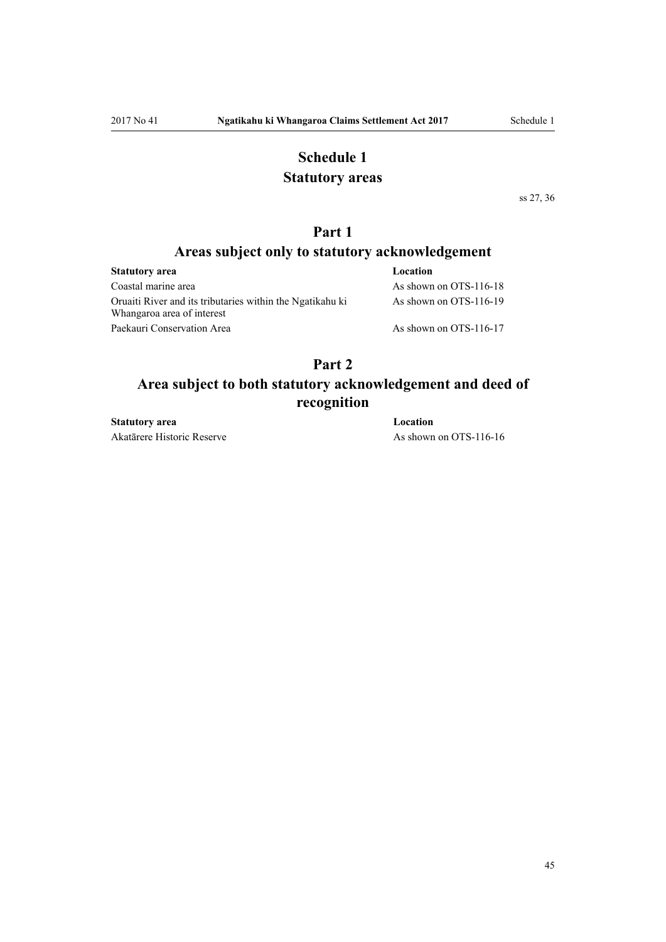# **Schedule 1**

### **Statutory areas**

ss 27, 36

### **Part 1**

# **Areas subject only to statutory acknowledgement**

| Location                 |
|--------------------------|
| As shown on OTS-116-18   |
| As shown on OTS-116-19   |
| As shown on $OTS-116-17$ |
|                          |

# **Part 2**

# **Area subject to both statutory acknowledgement and deed of recognition**

**Statutory area Location** Akatārere Historic Reserve As shown on OTS-116-16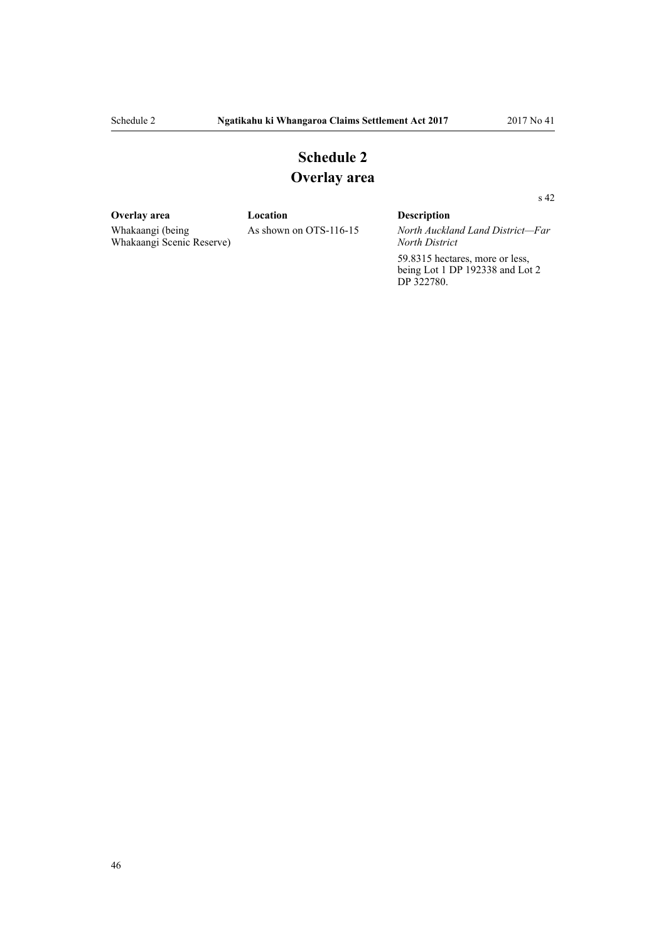s 42

# **Schedule 2 Overlay area**

# **Overlay area Location Description**

Whakaangi (being Whakaangi Scenic Reserve) As shown on OTS-116-15 *North Auckland Land District—Far*

*North District* 59.8315 hectares, more or less, being Lot 1 DP 192338 and Lot 2 DP 322780.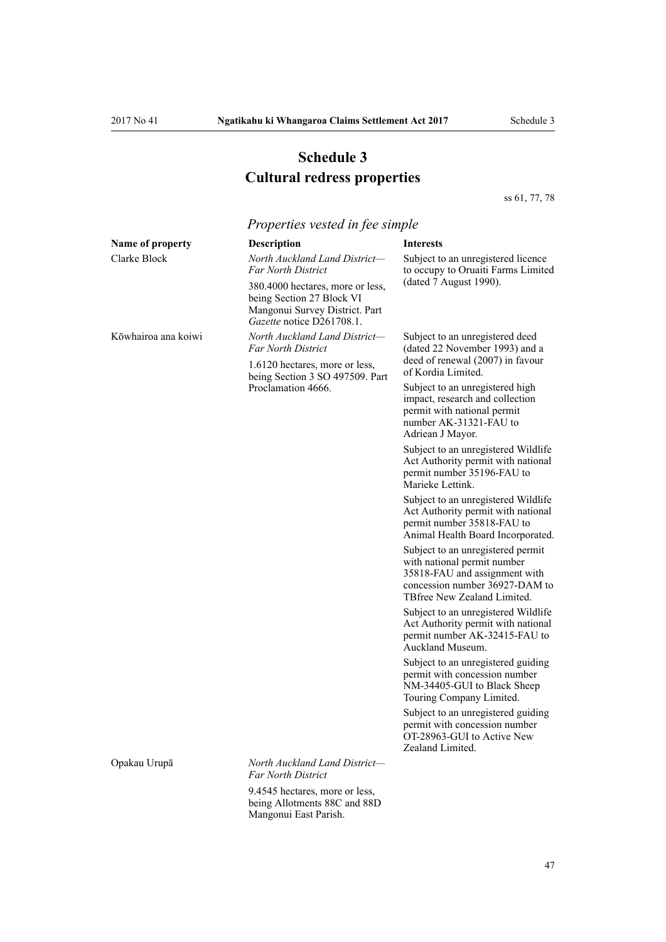# **Schedule 3 Cultural redress properties**

ss 61, 77, 78

# *Properties vested in fee simple*

| Name of property    | <b>Description</b>                                                                                                           | <b>Interests</b>                                                                                                                                                   |
|---------------------|------------------------------------------------------------------------------------------------------------------------------|--------------------------------------------------------------------------------------------------------------------------------------------------------------------|
| Clarke Block        | North Auckland Land District-<br><b>Far North District</b>                                                                   | Subject to an unregistered licence<br>to occupy to Oruaiti Farms Limited                                                                                           |
|                     | 380.4000 hectares, more or less,<br>being Section 27 Block VI<br>Mangonui Survey District. Part<br>Gazette notice D261708.1. | (dated 7 August 1990).                                                                                                                                             |
| Kōwhairoa ana koiwi | North Auckland Land District-<br><b>Far North District</b>                                                                   | Subject to an unregistered deed<br>(dated 22 November 1993) and a                                                                                                  |
|                     | 1.6120 hectares, more or less,<br>being Section 3 SO 497509. Part<br>Proclamation 4666.                                      | deed of renewal (2007) in favour<br>of Kordia Limited.                                                                                                             |
|                     |                                                                                                                              | Subject to an unregistered high<br>impact, research and collection<br>permit with national permit<br>number AK-31321-FAU to<br>Adriean J Mayor.                    |
|                     |                                                                                                                              | Subject to an unregistered Wildlife<br>Act Authority permit with national<br>permit number 35196-FAU to<br>Marieke Lettink.                                        |
|                     |                                                                                                                              | Subject to an unregistered Wildlife<br>Act Authority permit with national<br>permit number 35818-FAU to<br>Animal Health Board Incorporated.                       |
|                     |                                                                                                                              | Subject to an unregistered permit<br>with national permit number<br>35818-FAU and assignment with<br>concession number 36927-DAM to<br>TBfree New Zealand Limited. |
|                     |                                                                                                                              | Subject to an unregistered Wildlife<br>Act Authority permit with national<br>permit number AK-32415-FAU to<br>Auckland Museum.                                     |
|                     |                                                                                                                              | Subject to an unregistered guiding<br>permit with concession number<br>NM-34405-GUI to Black Sheep<br>Touring Company Limited.                                     |
|                     |                                                                                                                              | Subject to an unregistered guiding<br>permit with concession number<br>OT-28963-GUI to Active New<br>Zealand Limited.                                              |
| Opakau Urupā        | North Auckland Land District-<br><b>Far North District</b>                                                                   |                                                                                                                                                                    |
|                     | 9.4545 hectares, more or less,<br>being Allotments 88C and 88D                                                               |                                                                                                                                                                    |

Mangonui East Parish.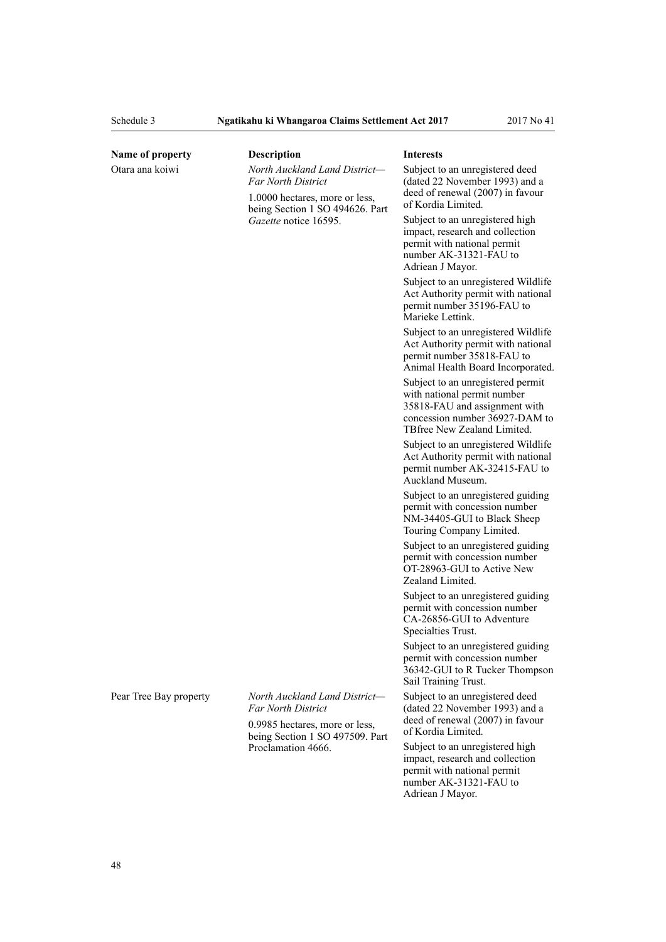number AK-31321-FAU to

Adriean J Mayor.

| Name of property       | <b>Description</b>                                                                                                                                       | <b>Interests</b>                                                                                                                                                   |
|------------------------|----------------------------------------------------------------------------------------------------------------------------------------------------------|--------------------------------------------------------------------------------------------------------------------------------------------------------------------|
| Otara ana koiwi        | North Auckland Land District-<br><b>Far North District</b><br>1.0000 hectares, more or less,<br>being Section 1 SO 494626. Part<br>Gazette notice 16595. | Subject to an unregistered deed<br>(dated 22 November 1993) and a<br>deed of renewal (2007) in favour<br>of Kordia Limited.                                        |
|                        |                                                                                                                                                          | Subject to an unregistered high<br>impact, research and collection<br>permit with national permit<br>number AK-31321-FAU to<br>Adriean J Mayor.                    |
|                        |                                                                                                                                                          | Subject to an unregistered Wildlife<br>Act Authority permit with national<br>permit number 35196-FAU to<br>Marieke Lettink.                                        |
|                        |                                                                                                                                                          | Subject to an unregistered Wildlife<br>Act Authority permit with national<br>permit number 35818-FAU to<br>Animal Health Board Incorporated.                       |
|                        |                                                                                                                                                          | Subject to an unregistered permit<br>with national permit number<br>35818-FAU and assignment with<br>concession number 36927-DAM to<br>TBfree New Zealand Limited. |
|                        |                                                                                                                                                          | Subject to an unregistered Wildlife<br>Act Authority permit with national<br>permit number AK-32415-FAU to<br>Auckland Museum.                                     |
|                        |                                                                                                                                                          | Subject to an unregistered guiding<br>permit with concession number<br>NM-34405-GUI to Black Sheep<br>Touring Company Limited.                                     |
|                        |                                                                                                                                                          | Subject to an unregistered guiding<br>permit with concession number<br>OT-28963-GUI to Active New<br>Zealand Limited.                                              |
|                        |                                                                                                                                                          | Subject to an unregistered guiding<br>permit with concession number<br>CA-26856-GUI to Adventure<br>Specialties Trust.                                             |
|                        |                                                                                                                                                          | Subject to an unregistered guiding<br>permit with concession number<br>36342-GUI to R Tucker Thompson<br>Sail Training Trust.                                      |
| Pear Tree Bay property | North Auckland Land District-<br><b>Far North District</b>                                                                                               | Subject to an unregistered deed<br>(dated 22 November 1993) and a<br>deed of renewal (2007) in favour                                                              |
|                        | 0.9985 hectares, more or less,<br>being Section 1 SO 497509. Part<br>Proclamation 4666.                                                                  | of Kordia Limited.<br>Subject to an unregistered high<br>impact, research and collection<br>permit with national permit                                            |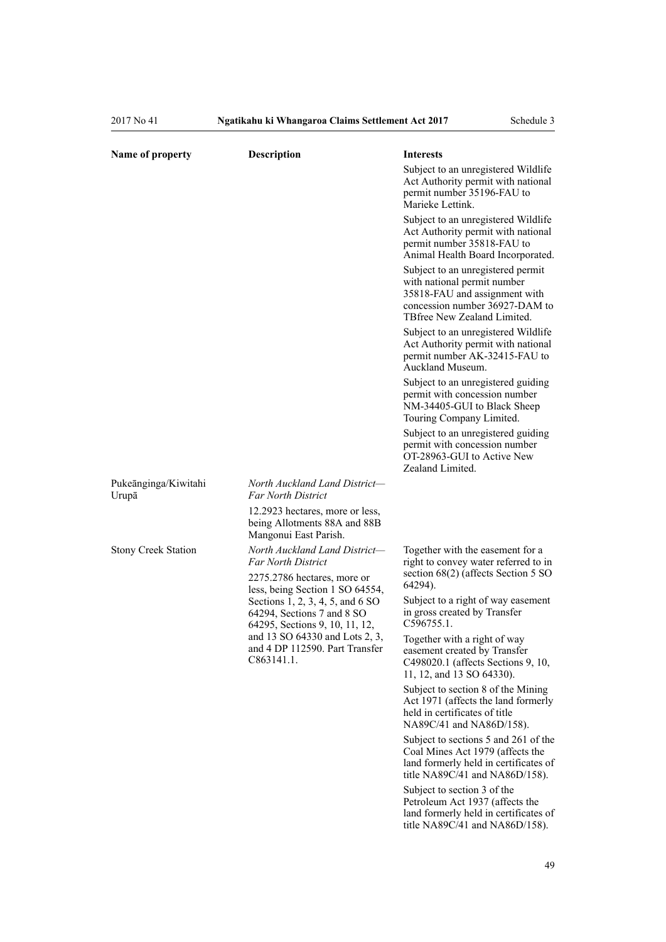| Name of property              | <b>Description</b>                                                                                                                                                                                                    | <b>Interests</b>                                                                                                                                                   |
|-------------------------------|-----------------------------------------------------------------------------------------------------------------------------------------------------------------------------------------------------------------------|--------------------------------------------------------------------------------------------------------------------------------------------------------------------|
|                               |                                                                                                                                                                                                                       | Subject to an unregistered Wildlife<br>Act Authority permit with national<br>permit number 35196-FAU to<br>Marieke Lettink.                                        |
|                               |                                                                                                                                                                                                                       | Subject to an unregistered Wildlife<br>Act Authority permit with national<br>permit number 35818-FAU to<br>Animal Health Board Incorporated.                       |
|                               |                                                                                                                                                                                                                       | Subject to an unregistered permit<br>with national permit number<br>35818-FAU and assignment with<br>concession number 36927-DAM to<br>TBfree New Zealand Limited. |
|                               |                                                                                                                                                                                                                       | Subject to an unregistered Wildlife<br>Act Authority permit with national<br>permit number AK-32415-FAU to<br>Auckland Museum.                                     |
|                               |                                                                                                                                                                                                                       | Subject to an unregistered guiding<br>permit with concession number<br>NM-34405-GUI to Black Sheep<br>Touring Company Limited.                                     |
|                               |                                                                                                                                                                                                                       | Subject to an unregistered guiding<br>permit with concession number<br>OT-28963-GUI to Active New<br>Zealand Limited.                                              |
| Pukeānginga/Kiwitahi<br>Urupā | North Auckland Land District-<br><b>Far North District</b>                                                                                                                                                            |                                                                                                                                                                    |
|                               | 12.2923 hectares, more or less,<br>being Allotments 88A and 88B<br>Mangonui East Parish.                                                                                                                              |                                                                                                                                                                    |
| <b>Stony Creek Station</b>    | North Auckland Land District-<br><b>Far North District</b><br>2275.2786 hectares, more or                                                                                                                             | Together with the easement for a<br>right to convey water referred to in<br>section 68(2) (affects Section 5 SO<br>64294).                                         |
|                               | less, being Section 1 SO 64554,<br>Sections 1, 2, 3, 4, 5, and 6 SO<br>64294, Sections 7 and 8 SO<br>64295, Sections 9, 10, 11, 12,<br>and 13 SO 64330 and Lots 2, 3,<br>and 4 DP 112590. Part Transfer<br>C863141.1. | Subject to a right of way easement<br>in gross created by Transfer<br>C596755.1.                                                                                   |
|                               |                                                                                                                                                                                                                       | Together with a right of way<br>easement created by Transfer<br>C498020.1 (affects Sections 9, 10,<br>11, 12, and 13 SO 64330).                                    |
|                               |                                                                                                                                                                                                                       | Subject to section 8 of the Mining<br>Act 1971 (affects the land formerly<br>held in certificates of title<br>NA89C/41 and NA86D/158).                             |
|                               |                                                                                                                                                                                                                       | Subject to sections 5 and 261 of the<br>Coal Mines Act 1979 (affects the<br>land formerly held in certificates of<br>title NA89C/41 and NA86D/158).                |
|                               |                                                                                                                                                                                                                       | Subject to section 3 of the<br>Petroleum Act 1937 (affects the<br>land formerly held in certificates of<br>title NA89C/41 and NA86D/158).                          |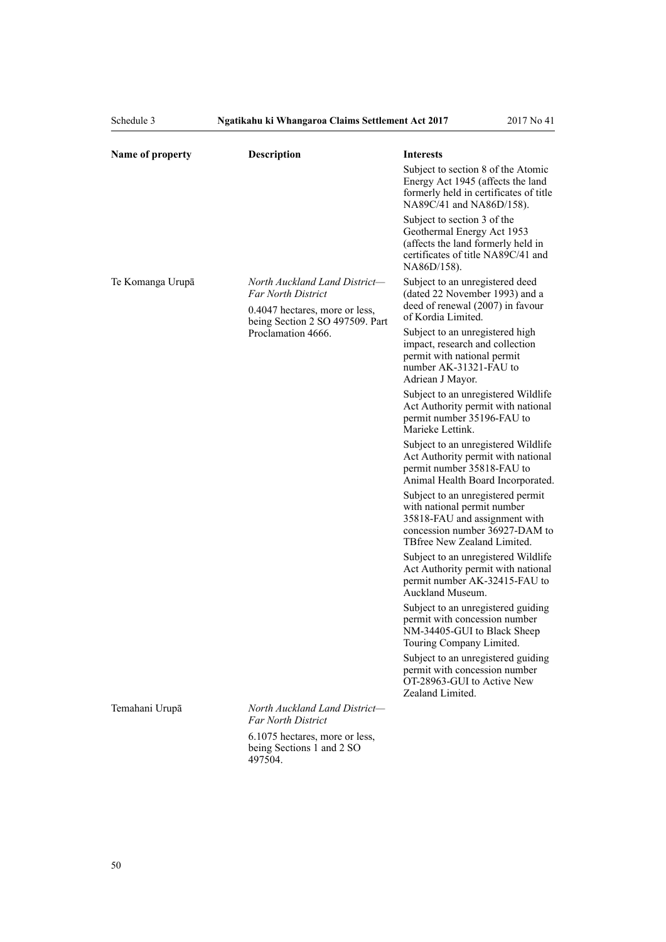| Name of property | Description                                                                                                                     | <b>Interests</b>                                                                                                                                                   |
|------------------|---------------------------------------------------------------------------------------------------------------------------------|--------------------------------------------------------------------------------------------------------------------------------------------------------------------|
|                  |                                                                                                                                 | Subject to section 8 of the Atomic<br>Energy Act 1945 (affects the land<br>formerly held in certificates of title<br>NA89C/41 and NA86D/158).                      |
|                  |                                                                                                                                 | Subject to section 3 of the<br>Geothermal Energy Act 1953<br>(affects the land formerly held in<br>certificates of title NA89C/41 and<br>NA86D/158).               |
| Te Komanga Urupā | North Auckland Land District-<br><b>Far North District</b><br>0.4047 hectares, more or less,<br>being Section 2 SO 497509. Part | Subject to an unregistered deed<br>(dated 22 November 1993) and a<br>deed of renewal (2007) in favour<br>of Kordia Limited.                                        |
|                  | Proclamation 4666.                                                                                                              | Subject to an unregistered high<br>impact, research and collection<br>permit with national permit<br>number AK-31321-FAU to<br>Adriean J Mayor.                    |
|                  |                                                                                                                                 | Subject to an unregistered Wildlife<br>Act Authority permit with national<br>permit number 35196-FAU to<br>Marieke Lettink.                                        |
|                  |                                                                                                                                 | Subject to an unregistered Wildlife<br>Act Authority permit with national<br>permit number 35818-FAU to<br>Animal Health Board Incorporated.                       |
|                  |                                                                                                                                 | Subject to an unregistered permit<br>with national permit number<br>35818-FAU and assignment with<br>concession number 36927-DAM to<br>TBfree New Zealand Limited. |
|                  |                                                                                                                                 | Subject to an unregistered Wildlife<br>Act Authority permit with national<br>permit number AK-32415-FAU to<br>Auckland Museum.                                     |
|                  |                                                                                                                                 | Subject to an unregistered guiding<br>permit with concession number<br>NM-34405-GUI to Black Sheep<br>Touring Company Limited.                                     |
|                  |                                                                                                                                 | Subject to an unregistered guiding<br>permit with concession number<br>OT-28963-GUI to Active New<br>Zealand Limited.                                              |
| Temahani Urupā   | North Auckland Land District-<br><b>Far North District</b>                                                                      |                                                                                                                                                                    |
|                  | 6.1075 hectares, more or less,<br>being Sections 1 and 2 SO                                                                     |                                                                                                                                                                    |

497504.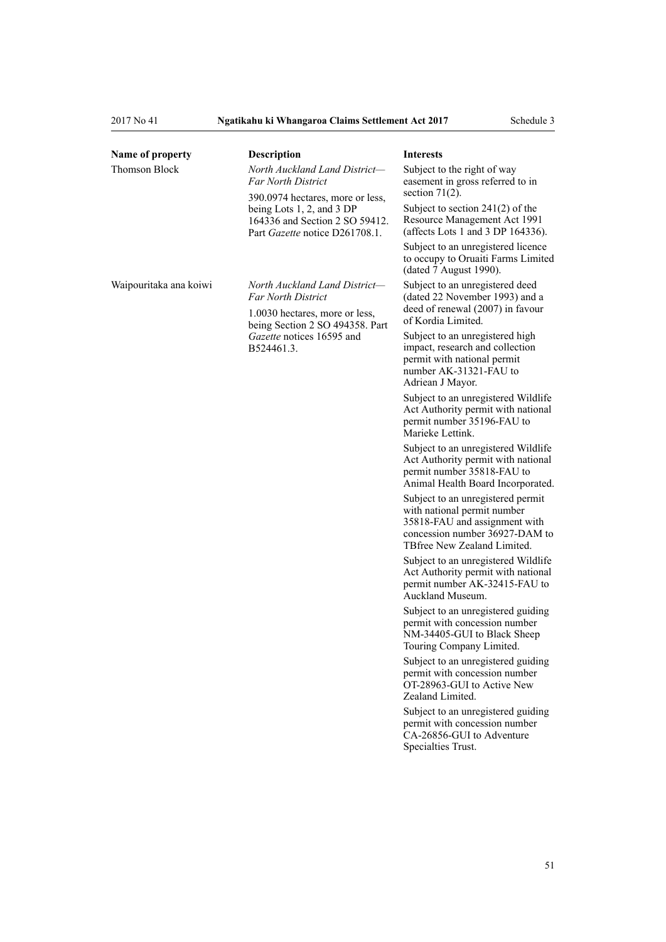| Name of property       | Description                                                                                                                                                                                     | <b>Interests</b>                                                                                                                                                   |
|------------------------|-------------------------------------------------------------------------------------------------------------------------------------------------------------------------------------------------|--------------------------------------------------------------------------------------------------------------------------------------------------------------------|
| Thomson Block          | North Auckland Land District-<br><b>Far North District</b><br>390.0974 hectares, more or less,<br>being Lots 1, 2, and 3 DP<br>164336 and Section 2 SO 59412.<br>Part Gazette notice D261708.1. | Subject to the right of way<br>easement in gross referred to in<br>section $71(2)$ .                                                                               |
|                        |                                                                                                                                                                                                 | Subject to section $241(2)$ of the<br>Resource Management Act 1991<br>(affects Lots 1 and 3 DP 164336).                                                            |
|                        |                                                                                                                                                                                                 | Subject to an unregistered licence<br>to occupy to Oruaiti Farms Limited<br>(dated 7 August 1990).                                                                 |
| Waipouritaka ana koiwi | North Auckland Land District-<br><b>Far North District</b><br>1.0030 hectares, more or less,<br>being Section 2 SO 494358. Part<br>Gazette notices 16595 and<br>B524461.3.                      | Subject to an unregistered deed<br>(dated 22 November 1993) and a<br>deed of renewal (2007) in favour<br>of Kordia Limited.                                        |
|                        |                                                                                                                                                                                                 | Subject to an unregistered high<br>impact, research and collection<br>permit with national permit<br>number AK-31321-FAU to<br>Adriean J Mayor.                    |
|                        |                                                                                                                                                                                                 | Subject to an unregistered Wildlife<br>Act Authority permit with national<br>permit number 35196-FAU to<br>Marieke Lettink.                                        |
|                        |                                                                                                                                                                                                 | Subject to an unregistered Wildlife<br>Act Authority permit with national<br>permit number 35818-FAU to<br>Animal Health Board Incorporated.                       |
|                        |                                                                                                                                                                                                 | Subject to an unregistered permit<br>with national permit number<br>35818-FAU and assignment with<br>concession number 36927-DAM to<br>TBfree New Zealand Limited. |
|                        |                                                                                                                                                                                                 | Subject to an unregistered Wildlife<br>Act Authority permit with national<br>permit number AK-32415-FAU to<br>Auckland Museum.                                     |
|                        |                                                                                                                                                                                                 | Subject to an unregistered guiding<br>permit with concession number<br>NM-34405-GUI to Black Sheep<br>Touring Company Limited.                                     |
|                        |                                                                                                                                                                                                 | Subject to an unregistered guiding<br>permit with concession number<br>OT-28963-GUI to Active New<br>Zealand Limited.                                              |
|                        |                                                                                                                                                                                                 | Subject to an unregistered guiding<br>permit with concession number<br>CA-26856-GUI to Adventure<br>Specialties Trust.                                             |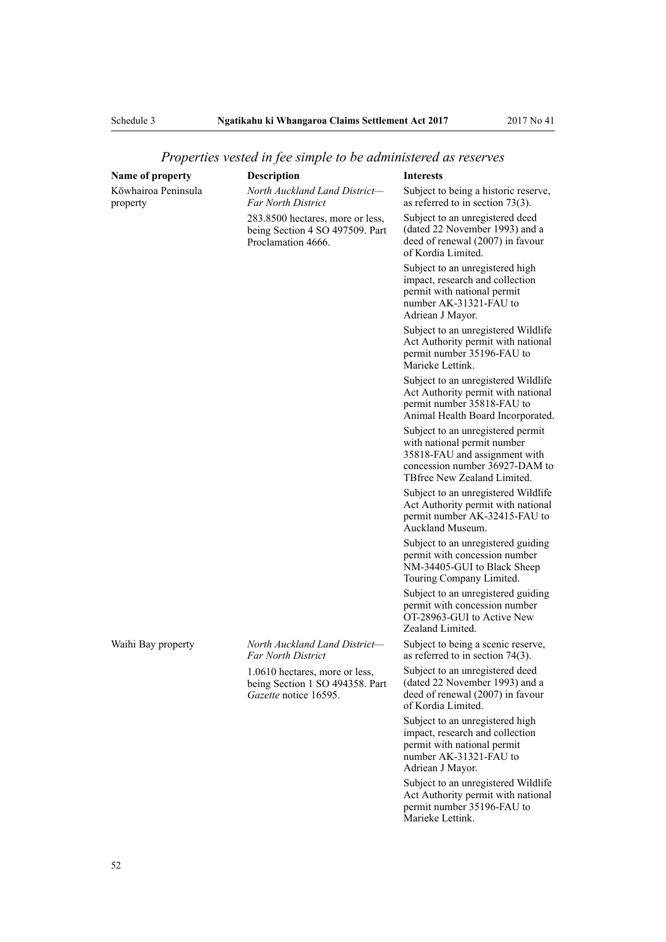# *Properties vested in fee simple to be administered as reserves*

| Name of property                | <b>Description</b>                                                                         | <b>Interests</b>                                                                                                                                                   |
|---------------------------------|--------------------------------------------------------------------------------------------|--------------------------------------------------------------------------------------------------------------------------------------------------------------------|
| Kōwhairoa Peninsula<br>property | North Auckland Land District-<br><b>Far North District</b>                                 | Subject to being a historic reserve,<br>as referred to in section $73(3)$ .                                                                                        |
|                                 | 283.8500 hectares, more or less,<br>being Section 4 SO 497509. Part<br>Proclamation 4666.  | Subject to an unregistered deed<br>(dated 22 November 1993) and a<br>deed of renewal (2007) in favour<br>of Kordia Limited.                                        |
|                                 |                                                                                            | Subject to an unregistered high<br>impact, research and collection<br>permit with national permit<br>number AK-31321-FAU to<br>Adriean J Mayor.                    |
|                                 |                                                                                            | Subject to an unregistered Wildlife<br>Act Authority permit with national<br>permit number 35196-FAU to<br>Marieke Lettink.                                        |
|                                 |                                                                                            | Subject to an unregistered Wildlife<br>Act Authority permit with national<br>permit number 35818-FAU to<br>Animal Health Board Incorporated.                       |
|                                 |                                                                                            | Subject to an unregistered permit<br>with national permit number<br>35818-FAU and assignment with<br>concession number 36927-DAM to<br>TBfree New Zealand Limited. |
|                                 |                                                                                            | Subject to an unregistered Wildlife<br>Act Authority permit with national<br>permit number AK-32415-FAU to<br>Auckland Museum.                                     |
|                                 |                                                                                            | Subject to an unregistered guiding<br>permit with concession number<br>NM-34405-GUI to Black Sheep<br>Touring Company Limited.                                     |
|                                 |                                                                                            | Subject to an unregistered guiding<br>permit with concession number<br>OT-28963-GUI to Active New<br>Zealand Limited.                                              |
| Waihi Bay property              | North Auckland Land District-<br><b>Far North District</b>                                 | Subject to being a scenic reserve,<br>as referred to in section $74(3)$ .                                                                                          |
|                                 | 1.0610 hectares, more or less,<br>being Section 1 SO 494358. Part<br>Gazette notice 16595. | Subject to an unregistered deed<br>(dated 22 November 1993) and a<br>deed of renewal (2007) in favour<br>of Kordia Limited.                                        |
|                                 |                                                                                            | Subject to an unregistered high<br>impact, research and collection<br>permit with national permit<br>number AK-31321-FAU to<br>Adriean J Mayor.                    |
|                                 |                                                                                            | Subject to an unregistered Wildlife<br>Act Authority permit with national<br>permit number 35196-FAU to<br>Marieke Lettink.                                        |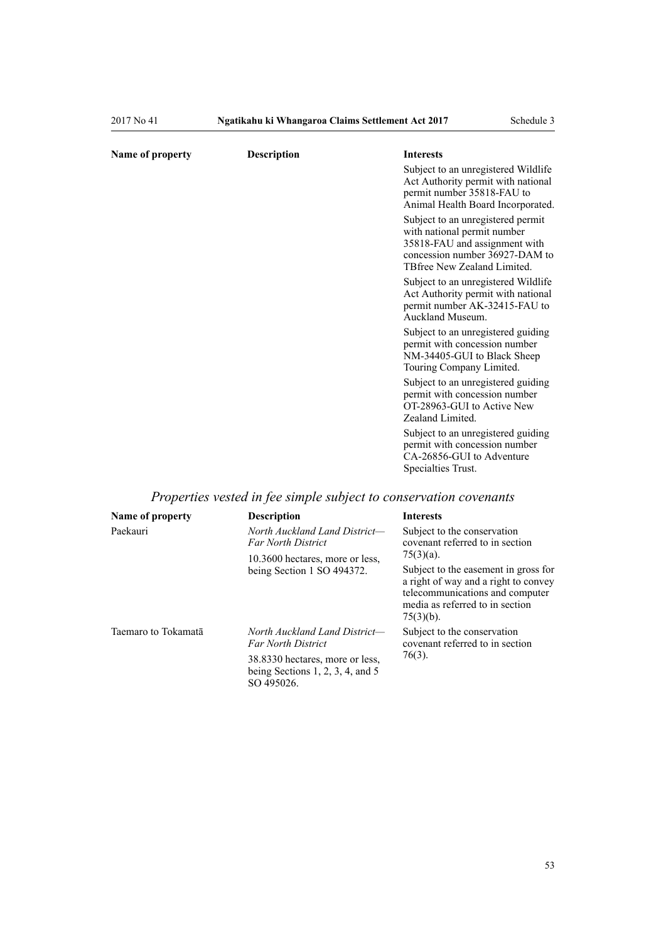| Name of property | <b>Description</b> | <b>Interests</b>                                                                                                                                                   |
|------------------|--------------------|--------------------------------------------------------------------------------------------------------------------------------------------------------------------|
|                  |                    | Subject to an unregistered Wildlife<br>Act Authority permit with national<br>permit number 35818-FAU to<br>Animal Health Board Incorporated.                       |
|                  |                    | Subject to an unregistered permit<br>with national permit number<br>35818-FAU and assignment with<br>concession number 36927-DAM to<br>TBfree New Zealand Limited. |
|                  |                    | Subject to an unregistered Wildlife<br>Act Authority permit with national<br>permit number AK-32415-FAU to<br>Auckland Museum                                      |
|                  |                    | Subject to an unregistered guiding<br>permit with concession number<br>NM-34405-GUI to Black Sheep<br>Touring Company Limited.                                     |
|                  |                    | Subject to an unregistered guiding<br>permit with concession number<br>OT-28963-GUI to Active New<br>Zealand Limited.                                              |
|                  |                    | Subject to an unregistered guiding<br>permit with concession number<br>CA-26856-GUI to Adventure<br>Specialties Trust.                                             |

# *Properties vested in fee simple subject to conservation covenants*

| Name of property    | <b>Description</b>                                                                | <b>Interests</b>                                                                                                                                                   |
|---------------------|-----------------------------------------------------------------------------------|--------------------------------------------------------------------------------------------------------------------------------------------------------------------|
| Paekauri            | North Auckland Land District-<br><b>Far North District</b>                        | Subject to the conservation<br>covenant referred to in section                                                                                                     |
|                     | 10.3600 hectares, more or less,<br>being Section 1 SO 494372.                     | $75(3)(a)$ .                                                                                                                                                       |
|                     |                                                                                   | Subject to the easement in gross for<br>a right of way and a right to convey<br>telecommunications and computer<br>media as referred to in section<br>$75(3)(b)$ . |
| Taemaro to Tokamatā | North Auckland Land District-<br><b>Far North District</b>                        | Subject to the conservation<br>covenant referred to in section<br>$76(3)$ .                                                                                        |
|                     | 38.8330 hectares, more or less,<br>being Sections 1, 2, 3, 4, and 5<br>SO 495026. |                                                                                                                                                                    |